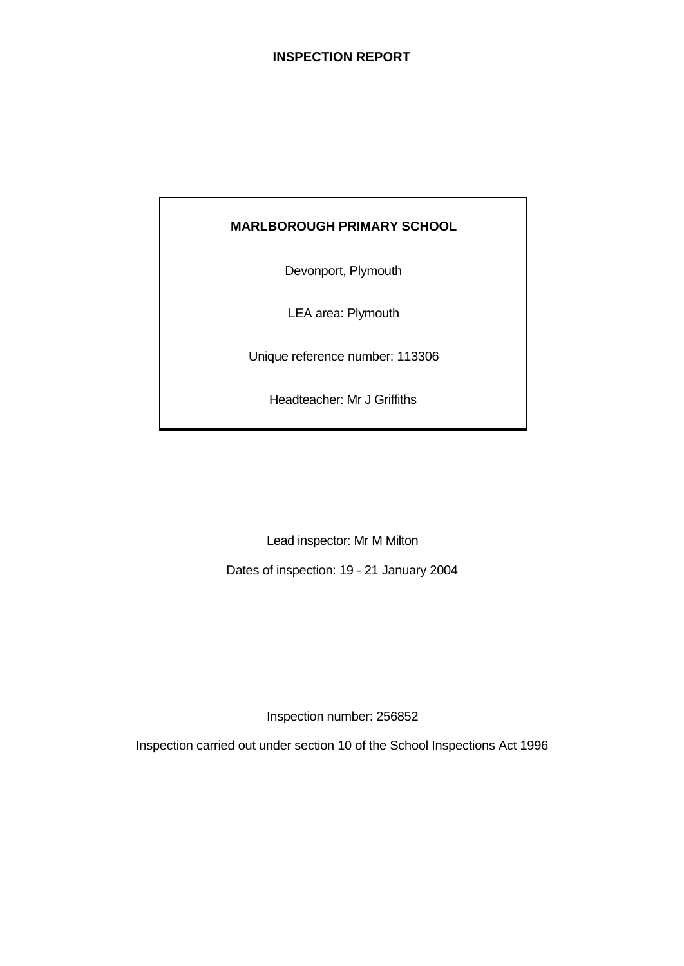## **MARLBOROUGH PRIMARY SCHOOL**

Devonport, Plymouth

LEA area: Plymouth

Unique reference number: 113306

Headteacher: Mr J Griffiths

Lead inspector: Mr M Milton

Dates of inspection: 19 - 21 January 2004

Inspection number: 256852

Inspection carried out under section 10 of the School Inspections Act 1996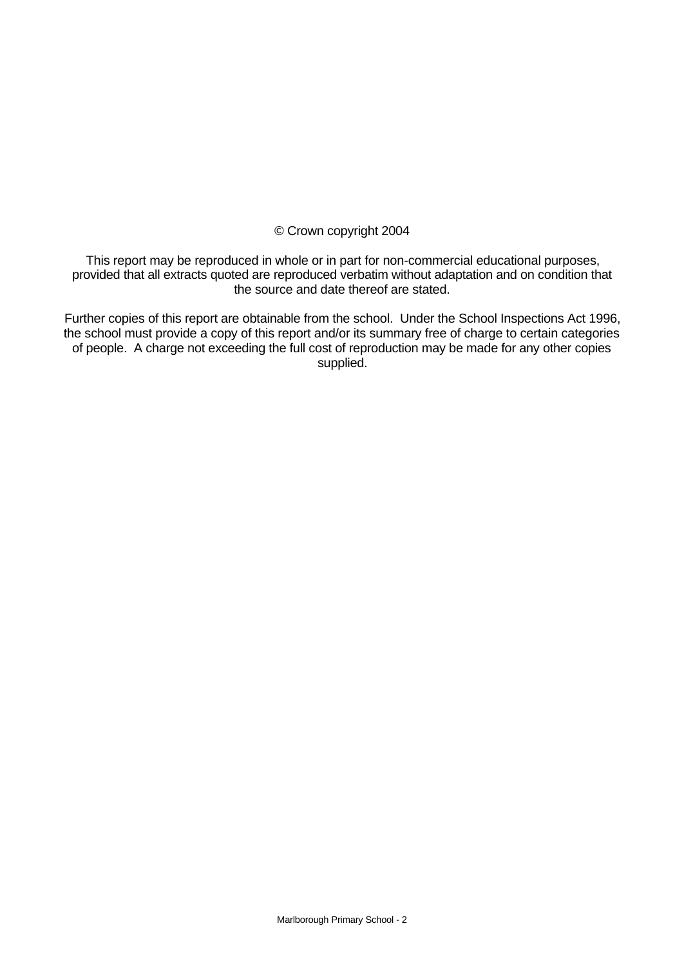#### © Crown copyright 2004

This report may be reproduced in whole or in part for non-commercial educational purposes, provided that all extracts quoted are reproduced verbatim without adaptation and on condition that the source and date thereof are stated.

Further copies of this report are obtainable from the school. Under the School Inspections Act 1996, the school must provide a copy of this report and/or its summary free of charge to certain categories of people. A charge not exceeding the full cost of reproduction may be made for any other copies supplied.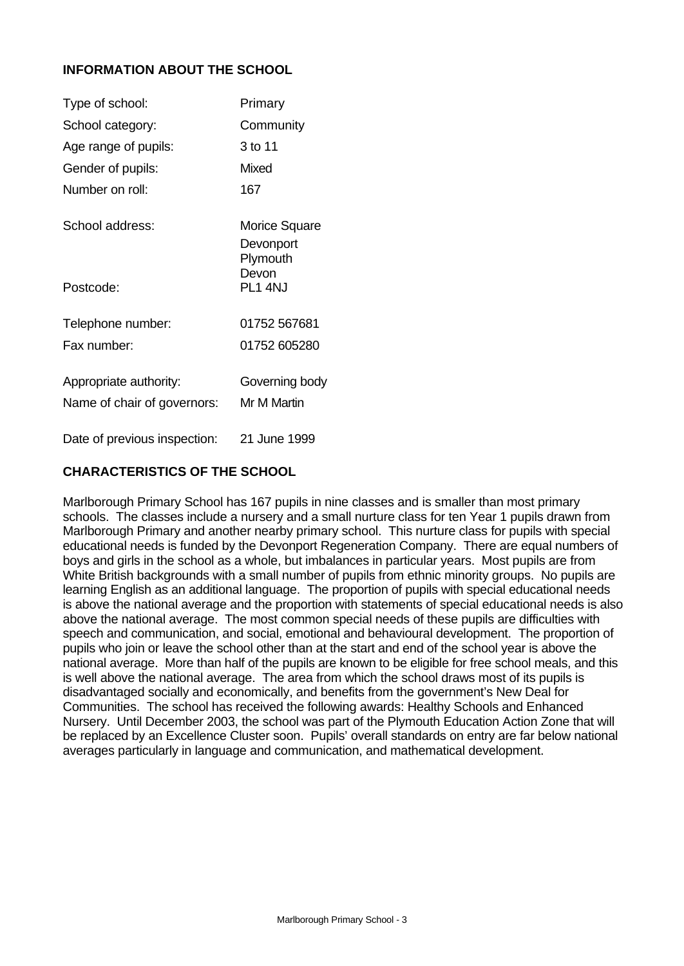## **INFORMATION ABOUT THE SCHOOL**

| Type of school:              | Primary                                       |
|------------------------------|-----------------------------------------------|
| School category:             | Community                                     |
| Age range of pupils:         | 3 to 11                                       |
| Gender of pupils:            | Mixed                                         |
| Number on roll <sup>.</sup>  | 167                                           |
| School address:              | <b>Morice Square</b><br>Devonport<br>Plymouth |
| Postcode:                    | Devon<br>PL1 4NJ                              |
| Telephone number:            | 01752 567681                                  |
| Fax number:                  | 01752 605280                                  |
| Appropriate authority:       | Governing body                                |
| Name of chair of governors:  | Mr M Martin                                   |
| Date of previous inspection: | 21 June 1999                                  |

## **CHARACTERISTICS OF THE SCHOOL**

Marlborough Primary School has 167 pupils in nine classes and is smaller than most primary schools. The classes include a nursery and a small nurture class for ten Year 1 pupils drawn from Marlborough Primary and another nearby primary school. This nurture class for pupils with special educational needs is funded by the Devonport Regeneration Company. There are equal numbers of boys and girls in the school as a whole, but imbalances in particular years. Most pupils are from White British backgrounds with a small number of pupils from ethnic minority groups. No pupils are learning English as an additional language. The proportion of pupils with special educational needs is above the national average and the proportion with statements of special educational needs is also above the national average. The most common special needs of these pupils are difficulties with speech and communication, and social, emotional and behavioural development. The proportion of pupils who join or leave the school other than at the start and end of the school year is above the national average. More than half of the pupils are known to be eligible for free school meals, and this is well above the national average. The area from which the school draws most of its pupils is disadvantaged socially and economically, and benefits from the government's New Deal for Communities. The school has received the following awards: Healthy Schools and Enhanced Nursery. Until December 2003, the school was part of the Plymouth Education Action Zone that will be replaced by an Excellence Cluster soon. Pupils' overall standards on entry are far below national averages particularly in language and communication, and mathematical development.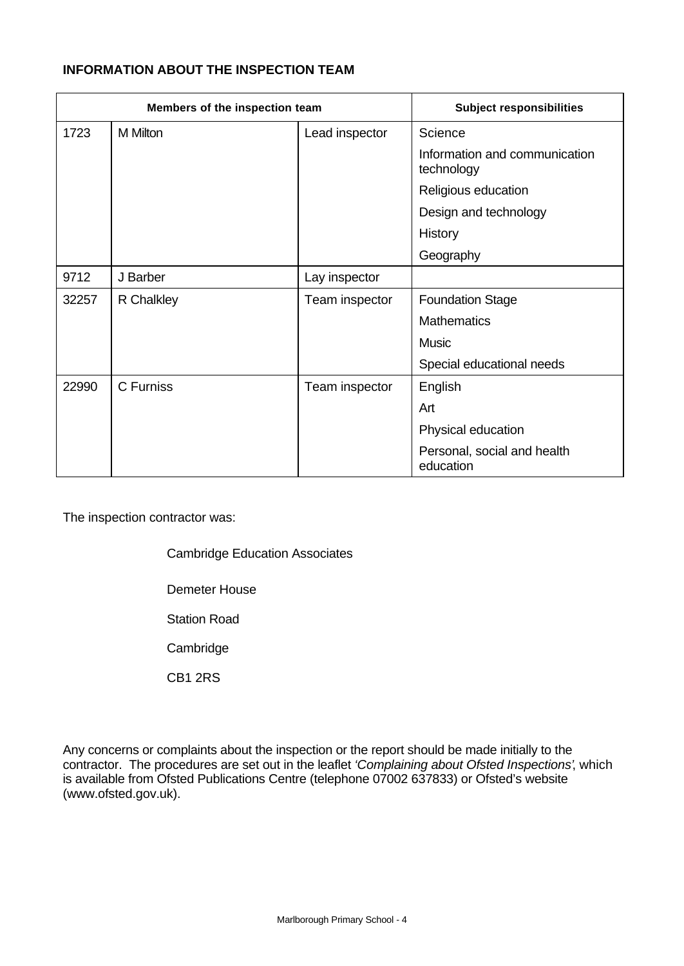## **INFORMATION ABOUT THE INSPECTION TEAM**

|       | Members of the inspection team |                | <b>Subject responsibilities</b>             |
|-------|--------------------------------|----------------|---------------------------------------------|
| 1723  | M Milton                       | Lead inspector | Science                                     |
|       |                                |                | Information and communication<br>technology |
|       |                                |                | Religious education                         |
|       |                                |                | Design and technology                       |
|       |                                |                | History                                     |
|       |                                |                | Geography                                   |
| 9712  | J Barber                       | Lay inspector  |                                             |
| 32257 | R Chalkley                     | Team inspector | <b>Foundation Stage</b>                     |
|       |                                |                | <b>Mathematics</b>                          |
|       |                                |                | <b>Music</b>                                |
|       |                                |                | Special educational needs                   |
| 22990 | C Furniss                      | Team inspector | English                                     |
|       |                                |                | Art                                         |
|       |                                |                | Physical education                          |
|       |                                |                | Personal, social and health<br>education    |

The inspection contractor was:

Cambridge Education Associates

Demeter House

Station Road

**Cambridge** 

CB1 2RS

Any concerns or complaints about the inspection or the report should be made initially to the contractor. The procedures are set out in the leaflet *'Complaining about Ofsted Inspections'*, which is available from Ofsted Publications Centre (telephone 07002 637833) or Ofsted's website (www.ofsted.gov.uk).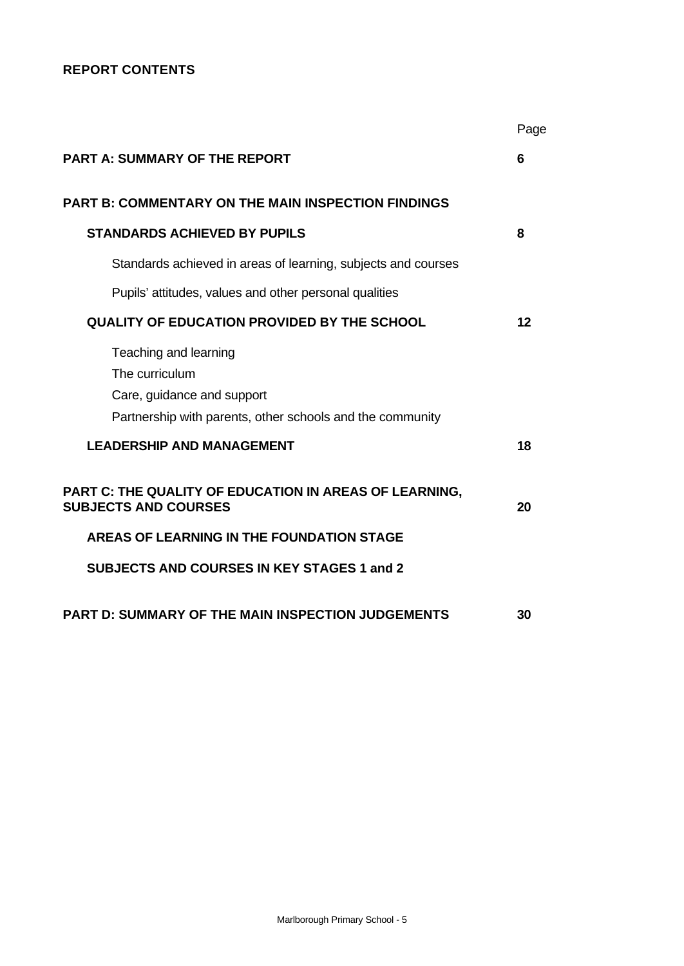## **REPORT CONTENTS**

|                                                                                       | Page    |
|---------------------------------------------------------------------------------------|---------|
| <b>PART A: SUMMARY OF THE REPORT</b>                                                  | 6       |
| <b>PART B: COMMENTARY ON THE MAIN INSPECTION FINDINGS</b>                             |         |
| <b>STANDARDS ACHIEVED BY PUPILS</b>                                                   | 8       |
| Standards achieved in areas of learning, subjects and courses                         |         |
| Pupils' attitudes, values and other personal qualities                                |         |
| QUALITY OF EDUCATION PROVIDED BY THE SCHOOL                                           | $12 \,$ |
| Teaching and learning<br>The curriculum<br>Care, guidance and support                 |         |
| Partnership with parents, other schools and the community                             |         |
| <b>LEADERSHIP AND MANAGEMENT</b>                                                      | 18      |
| PART C: THE QUALITY OF EDUCATION IN AREAS OF LEARNING,<br><b>SUBJECTS AND COURSES</b> | 20      |
| AREAS OF LEARNING IN THE FOUNDATION STAGE                                             |         |
| <b>SUBJECTS AND COURSES IN KEY STAGES 1 and 2</b>                                     |         |
| <b>PART D: SUMMARY OF THE MAIN INSPECTION JUDGEMENTS</b>                              | 30      |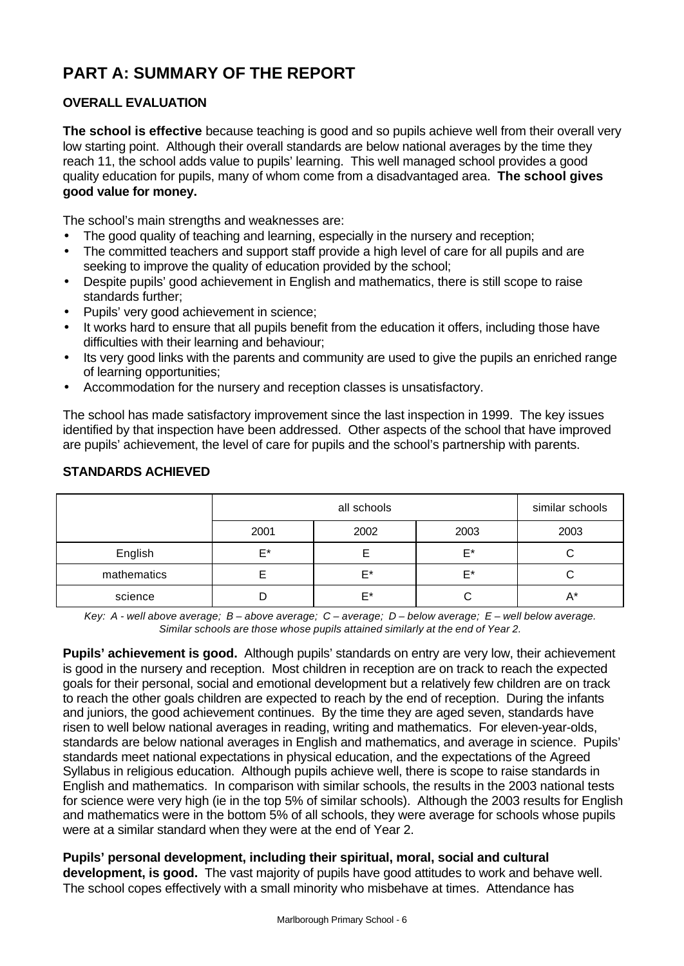# **PART A: SUMMARY OF THE REPORT**

## **OVERALL EVALUATION**

**The school is effective** because teaching is good and so pupils achieve well from their overall very low starting point. Although their overall standards are below national averages by the time they reach 11, the school adds value to pupils' learning. This well managed school provides a good quality education for pupils, many of whom come from a disadvantaged area. **The school gives good value for money.**

The school's main strengths and weaknesses are:

- The good quality of teaching and learning, especially in the nursery and reception;
- The committed teachers and support staff provide a high level of care for all pupils and are seeking to improve the quality of education provided by the school;
- Despite pupils' good achievement in English and mathematics, there is still scope to raise standards further;
- Pupils' very good achievement in science;
- It works hard to ensure that all pupils benefit from the education it offers, including those have difficulties with their learning and behaviour;
- Its very good links with the parents and community are used to give the pupils an enriched range of learning opportunities;
- Accommodation for the nursery and reception classes is unsatisfactory.

The school has made satisfactory improvement since the last inspection in 1999. The key issues identified by that inspection have been addressed. Other aspects of the school that have improved are pupils' achievement, the level of care for pupils and the school's partnership with parents.

|             |      | all schools |      |    |  |  |  |
|-------------|------|-------------|------|----|--|--|--|
|             | 2001 | 2003        | 2003 |    |  |  |  |
| English     | F*   |             | E*   |    |  |  |  |
| mathematics |      | F*          | F*   |    |  |  |  |
| science     |      | $F^*$       |      | A* |  |  |  |

## **STANDARDS ACHIEVED**

*Key: A - well above average; B – above average; C – average; D – below average; E – well below average. Similar schools are those whose pupils attained similarly at the end of Year 2.*

**Pupils' achievement is good.** Although pupils' standards on entry are very low, their achievement is good in the nursery and reception. Most children in reception are on track to reach the expected goals for their personal, social and emotional development but a relatively few children are on track to reach the other goals children are expected to reach by the end of reception. During the infants and juniors, the good achievement continues. By the time they are aged seven, standards have risen to well below national averages in reading, writing and mathematics. For eleven-year-olds, standards are below national averages in English and mathematics, and average in science. Pupils' standards meet national expectations in physical education, and the expectations of the Agreed Syllabus in religious education. Although pupils achieve well, there is scope to raise standards in English and mathematics. In comparison with similar schools, the results in the 2003 national tests for science were very high (ie in the top 5% of similar schools). Although the 2003 results for English and mathematics were in the bottom 5% of all schools, they were average for schools whose pupils were at a similar standard when they were at the end of Year 2.

## **Pupils' personal development, including their spiritual, moral, social and cultural**

**development, is good.** The vast majority of pupils have good attitudes to work and behave well. The school copes effectively with a small minority who misbehave at times. Attendance has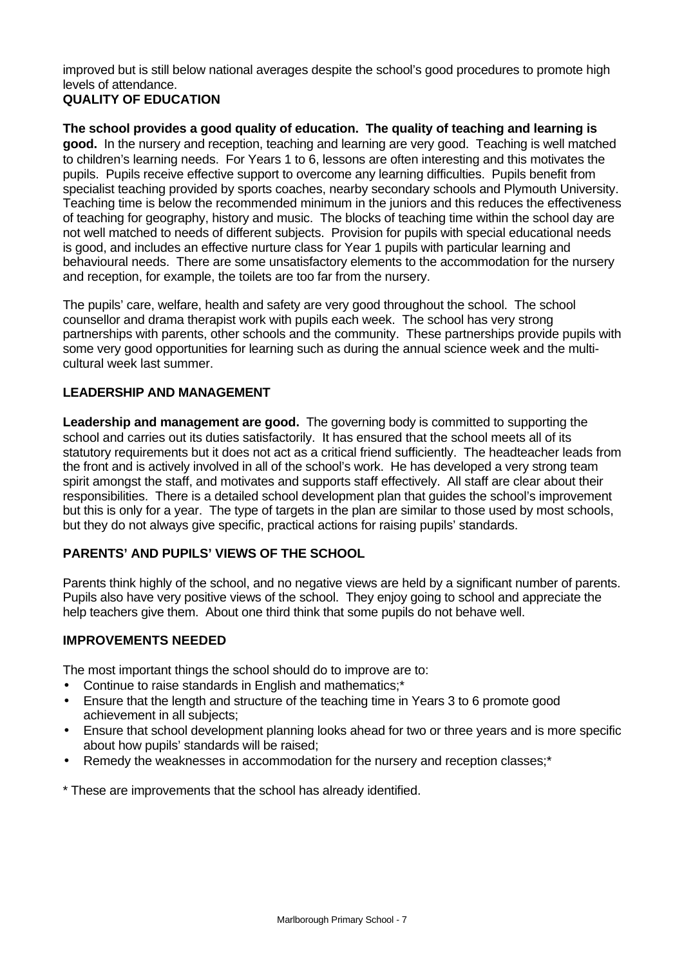improved but is still below national averages despite the school's good procedures to promote high levels of attendance.

## **QUALITY OF EDUCATION**

**The school provides a good quality of education. The quality of teaching and learning is good.** In the nursery and reception, teaching and learning are very good. Teaching is well matched to children's learning needs. For Years 1 to 6, lessons are often interesting and this motivates the pupils. Pupils receive effective support to overcome any learning difficulties. Pupils benefit from specialist teaching provided by sports coaches, nearby secondary schools and Plymouth University. Teaching time is below the recommended minimum in the juniors and this reduces the effectiveness of teaching for geography, history and music. The blocks of teaching time within the school day are not well matched to needs of different subjects. Provision for pupils with special educational needs is good, and includes an effective nurture class for Year 1 pupils with particular learning and behavioural needs. There are some unsatisfactory elements to the accommodation for the nursery and reception, for example, the toilets are too far from the nursery.

The pupils' care, welfare, health and safety are very good throughout the school. The school counsellor and drama therapist work with pupils each week. The school has very strong partnerships with parents, other schools and the community. These partnerships provide pupils with some very good opportunities for learning such as during the annual science week and the multicultural week last summer.

## **LEADERSHIP AND MANAGEMENT**

**Leadership and management are good.** The governing body is committed to supporting the school and carries out its duties satisfactorily. It has ensured that the school meets all of its statutory requirements but it does not act as a critical friend sufficiently. The headteacher leads from the front and is actively involved in all of the school's work. He has developed a very strong team spirit amongst the staff, and motivates and supports staff effectively. All staff are clear about their responsibilities. There is a detailed school development plan that guides the school's improvement but this is only for a year. The type of targets in the plan are similar to those used by most schools, but they do not always give specific, practical actions for raising pupils' standards.

## **PARENTS' AND PUPILS' VIEWS OF THE SCHOOL**

Parents think highly of the school, and no negative views are held by a significant number of parents. Pupils also have very positive views of the school. They enjoy going to school and appreciate the help teachers give them. About one third think that some pupils do not behave well.

## **IMPROVEMENTS NEEDED**

The most important things the school should do to improve are to:

- Continue to raise standards in English and mathematics;\*
- Ensure that the length and structure of the teaching time in Years 3 to 6 promote good achievement in all subjects;
- Ensure that school development planning looks ahead for two or three years and is more specific about how pupils' standards will be raised;
- Remedy the weaknesses in accommodation for the nursery and reception classes;\*

\* These are improvements that the school has already identified.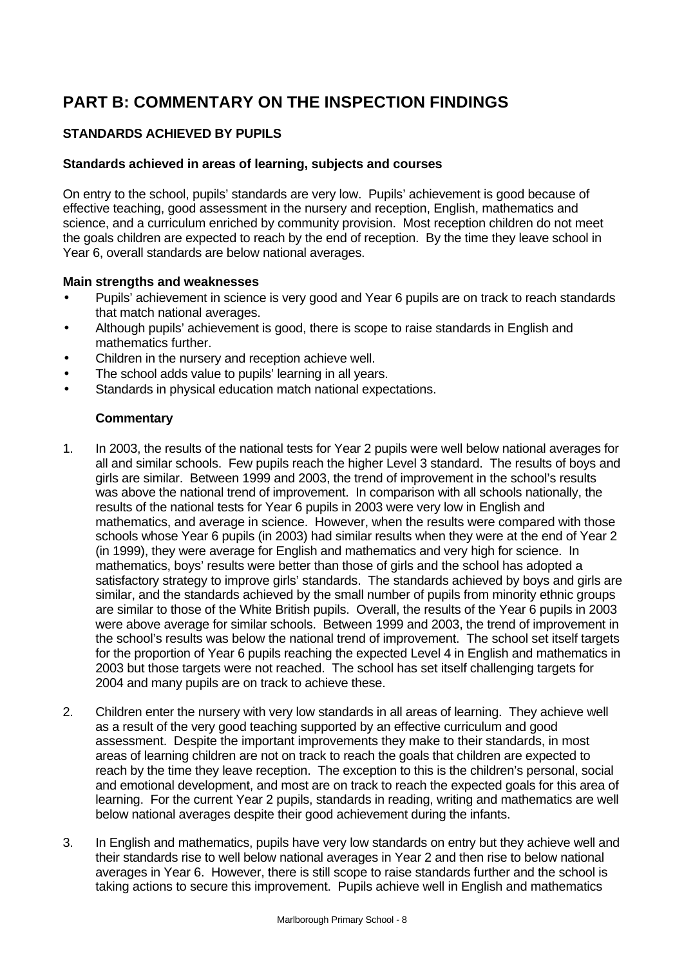# **PART B: COMMENTARY ON THE INSPECTION FINDINGS**

## **STANDARDS ACHIEVED BY PUPILS**

## **Standards achieved in areas of learning, subjects and courses**

On entry to the school, pupils' standards are very low. Pupils' achievement is good because of effective teaching, good assessment in the nursery and reception, English, mathematics and science, and a curriculum enriched by community provision. Most reception children do not meet the goals children are expected to reach by the end of reception. By the time they leave school in Year 6, overall standards are below national averages.

## **Main strengths and weaknesses**

- Pupils' achievement in science is very good and Year 6 pupils are on track to reach standards that match national averages.
- Although pupils' achievement is good, there is scope to raise standards in English and mathematics further.
- Children in the nursery and reception achieve well.
- The school adds value to pupils' learning in all years.
- Standards in physical education match national expectations.

- 1. In 2003, the results of the national tests for Year 2 pupils were well below national averages for all and similar schools. Few pupils reach the higher Level 3 standard. The results of boys and girls are similar. Between 1999 and 2003, the trend of improvement in the school's results was above the national trend of improvement. In comparison with all schools nationally, the results of the national tests for Year 6 pupils in 2003 were very low in English and mathematics, and average in science. However, when the results were compared with those schools whose Year 6 pupils (in 2003) had similar results when they were at the end of Year 2 (in 1999), they were average for English and mathematics and very high for science. In mathematics, boys' results were better than those of girls and the school has adopted a satisfactory strategy to improve girls' standards. The standards achieved by boys and girls are similar, and the standards achieved by the small number of pupils from minority ethnic groups are similar to those of the White British pupils. Overall, the results of the Year 6 pupils in 2003 were above average for similar schools. Between 1999 and 2003, the trend of improvement in the school's results was below the national trend of improvement. The school set itself targets for the proportion of Year 6 pupils reaching the expected Level 4 in English and mathematics in 2003 but those targets were not reached. The school has set itself challenging targets for 2004 and many pupils are on track to achieve these.
- 2. Children enter the nursery with very low standards in all areas of learning. They achieve well as a result of the very good teaching supported by an effective curriculum and good assessment. Despite the important improvements they make to their standards, in most areas of learning children are not on track to reach the goals that children are expected to reach by the time they leave reception. The exception to this is the children's personal, social and emotional development, and most are on track to reach the expected goals for this area of learning. For the current Year 2 pupils, standards in reading, writing and mathematics are well below national averages despite their good achievement during the infants.
- 3. In English and mathematics, pupils have very low standards on entry but they achieve well and their standards rise to well below national averages in Year 2 and then rise to below national averages in Year 6. However, there is still scope to raise standards further and the school is taking actions to secure this improvement. Pupils achieve well in English and mathematics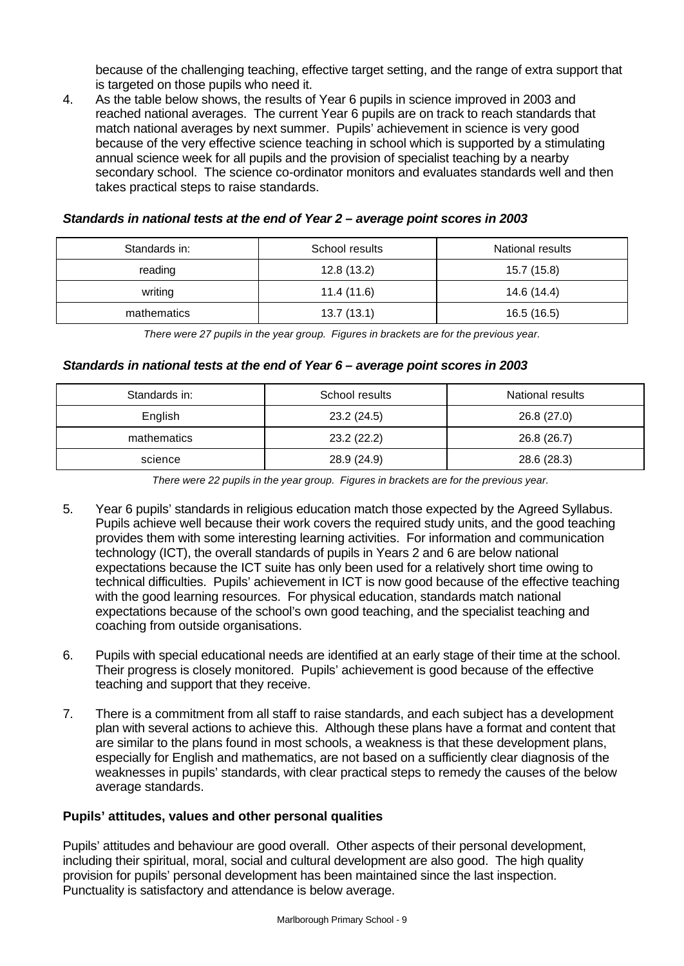because of the challenging teaching, effective target setting, and the range of extra support that is targeted on those pupils who need it.

4. As the table below shows, the results of Year 6 pupils in science improved in 2003 and reached national averages. The current Year 6 pupils are on track to reach standards that match national averages by next summer. Pupils' achievement in science is very good because of the very effective science teaching in school which is supported by a stimulating annual science week for all pupils and the provision of specialist teaching by a nearby secondary school. The science co-ordinator monitors and evaluates standards well and then takes practical steps to raise standards.

| Standards in: | School results | National results |
|---------------|----------------|------------------|
| reading       | 12.8(13.2)     | 15.7 (15.8)      |
| writing       | 11.4 (11.6)    | 14.6 (14.4)      |
| mathematics   | 13.7(13.1)     | 16.5(16.5)       |

## *Standards in national tests at the end of Year 2 – average point scores in 2003*

*There were 27 pupils in the year group. Figures in brackets are for the previous year.*

#### *Standards in national tests at the end of Year 6 – average point scores in 2003*

| Standards in: | School results | National results |
|---------------|----------------|------------------|
| English       | 23.2 (24.5)    | 26.8 (27.0)      |
| mathematics   | 23.2 (22.2)    | 26.8 (26.7)      |
| science       | 28.9 (24.9)    | 28.6 (28.3)      |

*There were 22 pupils in the year group. Figures in brackets are for the previous year.*

- 5. Year 6 pupils' standards in religious education match those expected by the Agreed Syllabus. Pupils achieve well because their work covers the required study units, and the good teaching provides them with some interesting learning activities. For information and communication technology (ICT), the overall standards of pupils in Years 2 and 6 are below national expectations because the ICT suite has only been used for a relatively short time owing to technical difficulties. Pupils' achievement in ICT is now good because of the effective teaching with the good learning resources. For physical education, standards match national expectations because of the school's own good teaching, and the specialist teaching and coaching from outside organisations.
- 6. Pupils with special educational needs are identified at an early stage of their time at the school. Their progress is closely monitored. Pupils' achievement is good because of the effective teaching and support that they receive.
- 7. There is a commitment from all staff to raise standards, and each subject has a development plan with several actions to achieve this. Although these plans have a format and content that are similar to the plans found in most schools, a weakness is that these development plans, especially for English and mathematics, are not based on a sufficiently clear diagnosis of the weaknesses in pupils' standards, with clear practical steps to remedy the causes of the below average standards.

#### **Pupils' attitudes, values and other personal qualities**

Pupils' attitudes and behaviour are good overall. Other aspects of their personal development, including their spiritual, moral, social and cultural development are also good. The high quality provision for pupils' personal development has been maintained since the last inspection. Punctuality is satisfactory and attendance is below average.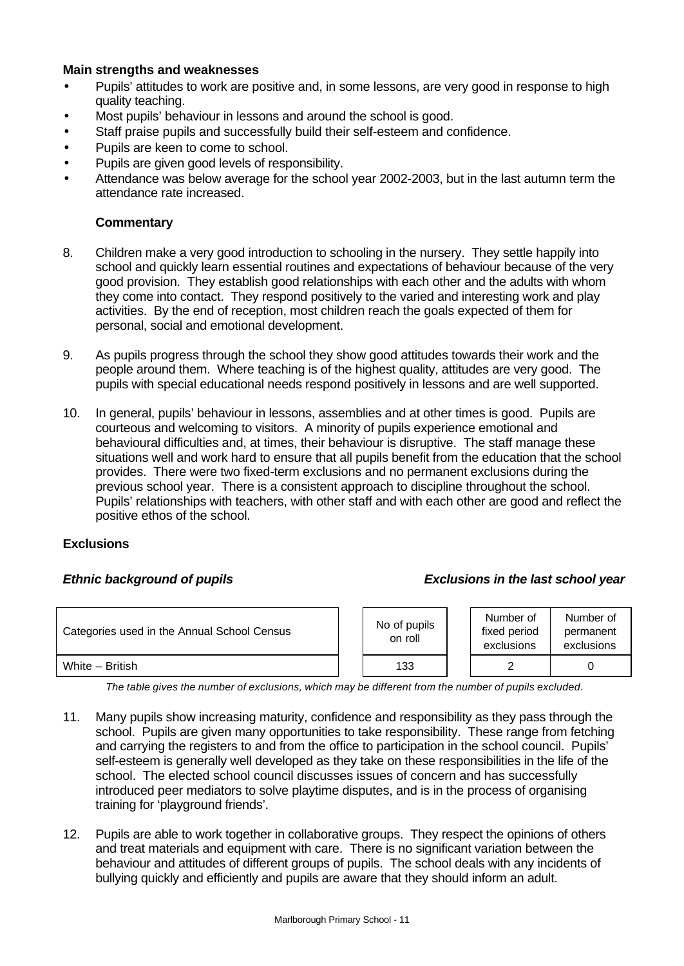## **Main strengths and weaknesses**

- Pupils' attitudes to work are positive and, in some lessons, are very good in response to high quality teaching.
- Most pupils' behaviour in lessons and around the school is good.
- Staff praise pupils and successfully build their self-esteem and confidence.
- Pupils are keen to come to school.
- Pupils are given good levels of responsibility.
- Attendance was below average for the school year 2002-2003, but in the last autumn term the attendance rate increased.

#### **Commentary**

- 8. Children make a very good introduction to schooling in the nursery. They settle happily into school and quickly learn essential routines and expectations of behaviour because of the very good provision. They establish good relationships with each other and the adults with whom they come into contact. They respond positively to the varied and interesting work and play activities. By the end of reception, most children reach the goals expected of them for personal, social and emotional development.
- 9. As pupils progress through the school they show good attitudes towards their work and the people around them. Where teaching is of the highest quality, attitudes are very good. The pupils with special educational needs respond positively in lessons and are well supported.
- 10. In general, pupils' behaviour in lessons, assemblies and at other times is good. Pupils are courteous and welcoming to visitors. A minority of pupils experience emotional and behavioural difficulties and, at times, their behaviour is disruptive. The staff manage these situations well and work hard to ensure that all pupils benefit from the education that the school provides. There were two fixed-term exclusions and no permanent exclusions during the previous school year. There is a consistent approach to discipline throughout the school. Pupils' relationships with teachers, with other staff and with each other are good and reflect the positive ethos of the school.

#### **Exclusions**

### *Ethnic background of pupils Exclusions in the last school year*

| Categories used in the Annual School Census | No of pupils<br>on roll | Number of<br>fixed period<br>exclusions | Number of<br>permanent<br>exclusions |
|---------------------------------------------|-------------------------|-----------------------------------------|--------------------------------------|
| White - British                             | 133                     |                                         |                                      |

*The table gives the number of exclusions, which may be different from the number of pupils excluded.*

- 11. Many pupils show increasing maturity, confidence and responsibility as they pass through the school. Pupils are given many opportunities to take responsibility. These range from fetching and carrying the registers to and from the office to participation in the school council. Pupils' self-esteem is generally well developed as they take on these responsibilities in the life of the school. The elected school council discusses issues of concern and has successfully introduced peer mediators to solve playtime disputes, and is in the process of organising training for 'playground friends'.
- 12. Pupils are able to work together in collaborative groups. They respect the opinions of others and treat materials and equipment with care. There is no significant variation between the behaviour and attitudes of different groups of pupils. The school deals with any incidents of bullying quickly and efficiently and pupils are aware that they should inform an adult.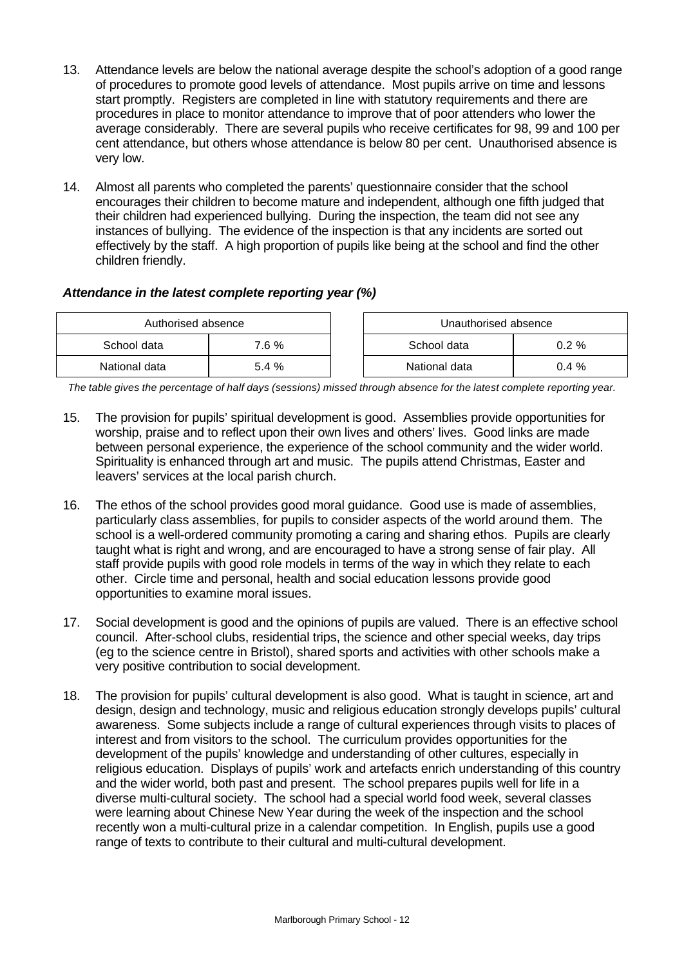- 13. Attendance levels are below the national average despite the school's adoption of a good range of procedures to promote good levels of attendance. Most pupils arrive on time and lessons start promptly. Registers are completed in line with statutory requirements and there are procedures in place to monitor attendance to improve that of poor attenders who lower the average considerably. There are several pupils who receive certificates for 98, 99 and 100 per cent attendance, but others whose attendance is below 80 per cent. Unauthorised absence is very low.
- 14. Almost all parents who completed the parents' questionnaire consider that the school encourages their children to become mature and independent, although one fifth judged that their children had experienced bullying. During the inspection, the team did not see any instances of bullying. The evidence of the inspection is that any incidents are sorted out effectively by the staff. A high proportion of pupils like being at the school and find the other children friendly.

## *Attendance in the latest complete reporting year (%)*

| Authorised absence |       | Unauthorised absence    |         |  |
|--------------------|-------|-------------------------|---------|--|
| School data        | 7.6 % | School data<br>$0.2 \%$ |         |  |
| National data      | 5.4 % | National data           | $0.4\%$ |  |

*The table gives the percentage of half days (sessions) missed through absence for the latest complete reporting year.*

- 15. The provision for pupils' spiritual development is good. Assemblies provide opportunities for worship, praise and to reflect upon their own lives and others' lives. Good links are made between personal experience, the experience of the school community and the wider world. Spirituality is enhanced through art and music. The pupils attend Christmas, Easter and leavers' services at the local parish church.
- 16. The ethos of the school provides good moral guidance. Good use is made of assemblies, particularly class assemblies, for pupils to consider aspects of the world around them. The school is a well-ordered community promoting a caring and sharing ethos. Pupils are clearly taught what is right and wrong, and are encouraged to have a strong sense of fair play. All staff provide pupils with good role models in terms of the way in which they relate to each other. Circle time and personal, health and social education lessons provide good opportunities to examine moral issues.
- 17. Social development is good and the opinions of pupils are valued. There is an effective school council. After-school clubs, residential trips, the science and other special weeks, day trips (eg to the science centre in Bristol), shared sports and activities with other schools make a very positive contribution to social development.
- 18. The provision for pupils' cultural development is also good. What is taught in science, art and design, design and technology, music and religious education strongly develops pupils' cultural awareness. Some subjects include a range of cultural experiences through visits to places of interest and from visitors to the school. The curriculum provides opportunities for the development of the pupils' knowledge and understanding of other cultures, especially in religious education. Displays of pupils' work and artefacts enrich understanding of this country and the wider world, both past and present. The school prepares pupils well for life in a diverse multi-cultural society. The school had a special world food week, several classes were learning about Chinese New Year during the week of the inspection and the school recently won a multi-cultural prize in a calendar competition. In English, pupils use a good range of texts to contribute to their cultural and multi-cultural development.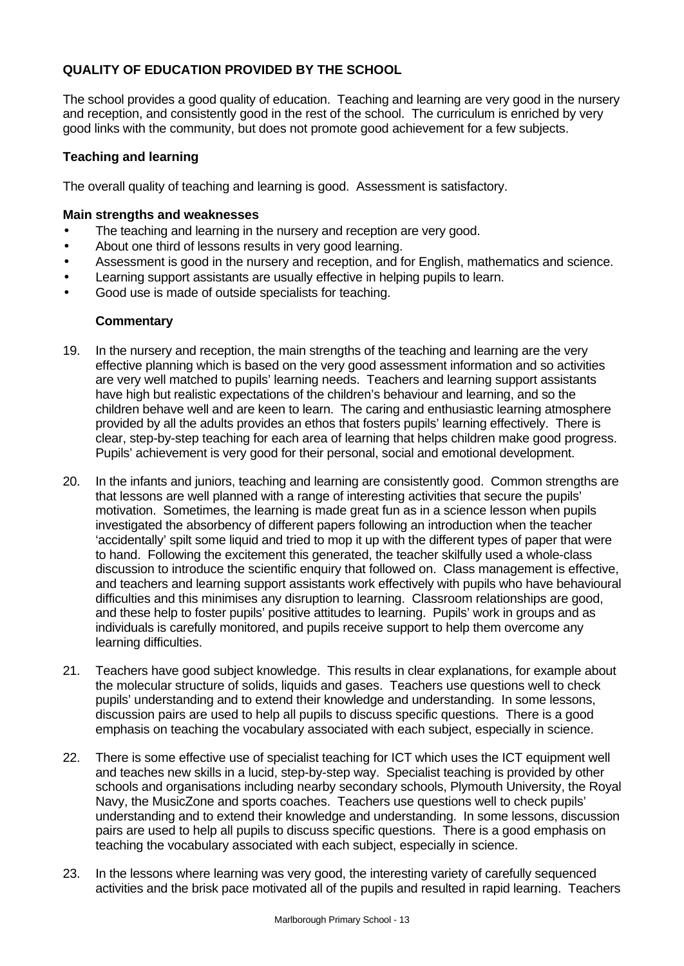## **QUALITY OF EDUCATION PROVIDED BY THE SCHOOL**

The school provides a good quality of education. Teaching and learning are very good in the nursery and reception, and consistently good in the rest of the school. The curriculum is enriched by very good links with the community, but does not promote good achievement for a few subjects.

## **Teaching and learning**

The overall quality of teaching and learning is good. Assessment is satisfactory.

## **Main strengths and weaknesses**

- The teaching and learning in the nursery and reception are very good.
- About one third of lessons results in very good learning.
- Assessment is good in the nursery and reception, and for English, mathematics and science.
- Learning support assistants are usually effective in helping pupils to learn.
- Good use is made of outside specialists for teaching.

- 19. In the nursery and reception, the main strengths of the teaching and learning are the very effective planning which is based on the very good assessment information and so activities are very well matched to pupils' learning needs. Teachers and learning support assistants have high but realistic expectations of the children's behaviour and learning, and so the children behave well and are keen to learn. The caring and enthusiastic learning atmosphere provided by all the adults provides an ethos that fosters pupils' learning effectively. There is clear, step-by-step teaching for each area of learning that helps children make good progress. Pupils' achievement is very good for their personal, social and emotional development.
- 20. In the infants and juniors, teaching and learning are consistently good. Common strengths are that lessons are well planned with a range of interesting activities that secure the pupils' motivation. Sometimes, the learning is made great fun as in a science lesson when pupils investigated the absorbency of different papers following an introduction when the teacher 'accidentally' spilt some liquid and tried to mop it up with the different types of paper that were to hand. Following the excitement this generated, the teacher skilfully used a whole-class discussion to introduce the scientific enquiry that followed on. Class management is effective, and teachers and learning support assistants work effectively with pupils who have behavioural difficulties and this minimises any disruption to learning. Classroom relationships are good, and these help to foster pupils' positive attitudes to learning. Pupils' work in groups and as individuals is carefully monitored, and pupils receive support to help them overcome any learning difficulties.
- 21. Teachers have good subject knowledge. This results in clear explanations, for example about the molecular structure of solids, liquids and gases. Teachers use questions well to check pupils' understanding and to extend their knowledge and understanding. In some lessons, discussion pairs are used to help all pupils to discuss specific questions. There is a good emphasis on teaching the vocabulary associated with each subject, especially in science.
- 22. There is some effective use of specialist teaching for ICT which uses the ICT equipment well and teaches new skills in a lucid, step-by-step way. Specialist teaching is provided by other schools and organisations including nearby secondary schools, Plymouth University, the Royal Navy, the MusicZone and sports coaches. Teachers use questions well to check pupils' understanding and to extend their knowledge and understanding. In some lessons, discussion pairs are used to help all pupils to discuss specific questions. There is a good emphasis on teaching the vocabulary associated with each subject, especially in science.
- 23. In the lessons where learning was very good, the interesting variety of carefully sequenced activities and the brisk pace motivated all of the pupils and resulted in rapid learning. Teachers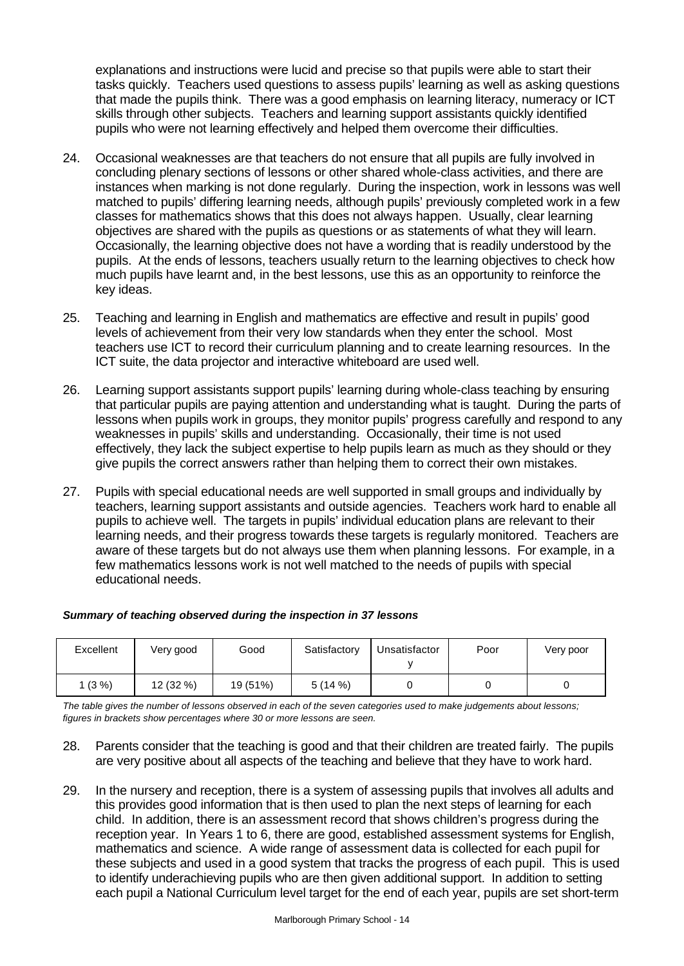explanations and instructions were lucid and precise so that pupils were able to start their tasks quickly. Teachers used questions to assess pupils' learning as well as asking questions that made the pupils think. There was a good emphasis on learning literacy, numeracy or ICT skills through other subjects. Teachers and learning support assistants quickly identified pupils who were not learning effectively and helped them overcome their difficulties.

- 24. Occasional weaknesses are that teachers do not ensure that all pupils are fully involved in concluding plenary sections of lessons or other shared whole-class activities, and there are instances when marking is not done regularly. During the inspection, work in lessons was well matched to pupils' differing learning needs, although pupils' previously completed work in a few classes for mathematics shows that this does not always happen. Usually, clear learning objectives are shared with the pupils as questions or as statements of what they will learn. Occasionally, the learning objective does not have a wording that is readily understood by the pupils. At the ends of lessons, teachers usually return to the learning objectives to check how much pupils have learnt and, in the best lessons, use this as an opportunity to reinforce the key ideas.
- 25. Teaching and learning in English and mathematics are effective and result in pupils' good levels of achievement from their very low standards when they enter the school. Most teachers use ICT to record their curriculum planning and to create learning resources. In the ICT suite, the data projector and interactive whiteboard are used well.
- 26. Learning support assistants support pupils' learning during whole-class teaching by ensuring that particular pupils are paying attention and understanding what is taught. During the parts of lessons when pupils work in groups, they monitor pupils' progress carefully and respond to any weaknesses in pupils' skills and understanding. Occasionally, their time is not used effectively, they lack the subject expertise to help pupils learn as much as they should or they give pupils the correct answers rather than helping them to correct their own mistakes.
- 27. Pupils with special educational needs are well supported in small groups and individually by teachers, learning support assistants and outside agencies. Teachers work hard to enable all pupils to achieve well. The targets in pupils' individual education plans are relevant to their learning needs, and their progress towards these targets is regularly monitored. Teachers are aware of these targets but do not always use them when planning lessons. For example, in a few mathematics lessons work is not well matched to the needs of pupils with special educational needs.

## *Summary of teaching observed during the inspection in 37 lessons*

| Excellent | Very good | Good     | Satisfactory | Unsatisfactor | Poor | Very poor |
|-----------|-----------|----------|--------------|---------------|------|-----------|
| $1(3\%)$  | 12 (32 %) | 19 (51%) | 5(14%)       |               |      |           |

*The table gives the number of lessons observed in each of the seven categories used to make judgements about lessons; figures in brackets show percentages where 30 or more lessons are seen.*

- 28. Parents consider that the teaching is good and that their children are treated fairly. The pupils are very positive about all aspects of the teaching and believe that they have to work hard.
- 29. In the nursery and reception, there is a system of assessing pupils that involves all adults and this provides good information that is then used to plan the next steps of learning for each child. In addition, there is an assessment record that shows children's progress during the reception year. In Years 1 to 6, there are good, established assessment systems for English, mathematics and science. A wide range of assessment data is collected for each pupil for these subjects and used in a good system that tracks the progress of each pupil. This is used to identify underachieving pupils who are then given additional support. In addition to setting each pupil a National Curriculum level target for the end of each year, pupils are set short-term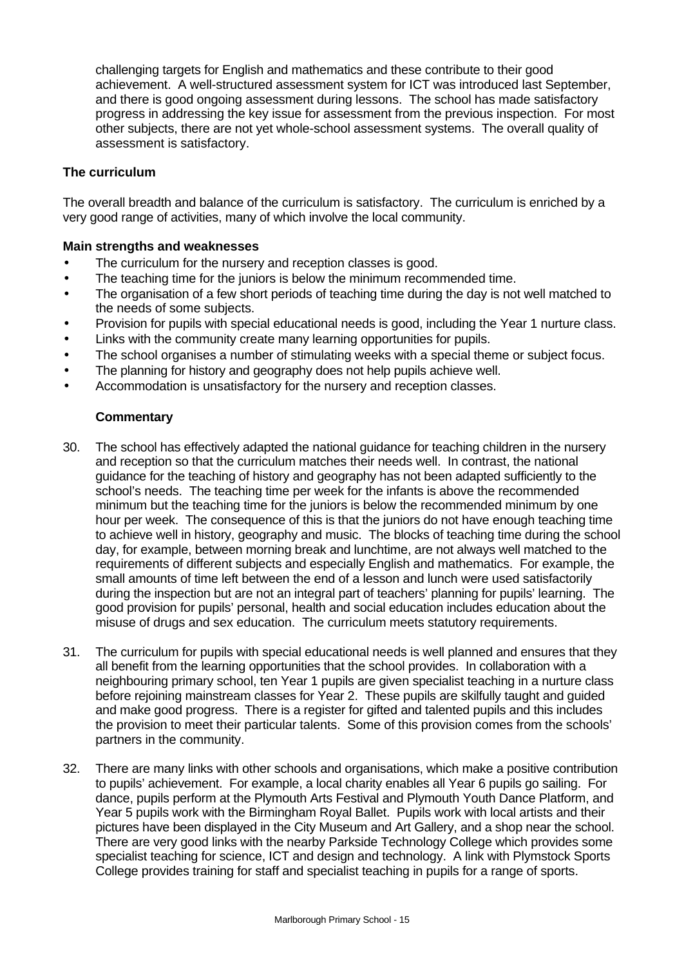challenging targets for English and mathematics and these contribute to their good achievement. A well-structured assessment system for ICT was introduced last September, and there is good ongoing assessment during lessons. The school has made satisfactory progress in addressing the key issue for assessment from the previous inspection. For most other subjects, there are not yet whole-school assessment systems. The overall quality of assessment is satisfactory.

## **The curriculum**

The overall breadth and balance of the curriculum is satisfactory. The curriculum is enriched by a very good range of activities, many of which involve the local community.

## **Main strengths and weaknesses**

- The curriculum for the nursery and reception classes is good.
- The teaching time for the juniors is below the minimum recommended time.
- The organisation of a few short periods of teaching time during the day is not well matched to the needs of some subjects.
- Provision for pupils with special educational needs is good, including the Year 1 nurture class.
- Links with the community create many learning opportunities for pupils.
- The school organises a number of stimulating weeks with a special theme or subject focus.
- The planning for history and geography does not help pupils achieve well.
- Accommodation is unsatisfactory for the nursery and reception classes.

- 30. The school has effectively adapted the national guidance for teaching children in the nursery and reception so that the curriculum matches their needs well. In contrast, the national guidance for the teaching of history and geography has not been adapted sufficiently to the school's needs. The teaching time per week for the infants is above the recommended minimum but the teaching time for the juniors is below the recommended minimum by one hour per week. The consequence of this is that the juniors do not have enough teaching time to achieve well in history, geography and music. The blocks of teaching time during the school day, for example, between morning break and lunchtime, are not always well matched to the requirements of different subjects and especially English and mathematics. For example, the small amounts of time left between the end of a lesson and lunch were used satisfactorily during the inspection but are not an integral part of teachers' planning for pupils' learning. The good provision for pupils' personal, health and social education includes education about the misuse of drugs and sex education. The curriculum meets statutory requirements.
- 31. The curriculum for pupils with special educational needs is well planned and ensures that they all benefit from the learning opportunities that the school provides. In collaboration with a neighbouring primary school, ten Year 1 pupils are given specialist teaching in a nurture class before rejoining mainstream classes for Year 2. These pupils are skilfully taught and guided and make good progress. There is a register for gifted and talented pupils and this includes the provision to meet their particular talents. Some of this provision comes from the schools' partners in the community.
- 32. There are many links with other schools and organisations, which make a positive contribution to pupils' achievement. For example, a local charity enables all Year 6 pupils go sailing. For dance, pupils perform at the Plymouth Arts Festival and Plymouth Youth Dance Platform, and Year 5 pupils work with the Birmingham Royal Ballet. Pupils work with local artists and their pictures have been displayed in the City Museum and Art Gallery, and a shop near the school. There are very good links with the nearby Parkside Technology College which provides some specialist teaching for science, ICT and design and technology. A link with Plymstock Sports College provides training for staff and specialist teaching in pupils for a range of sports.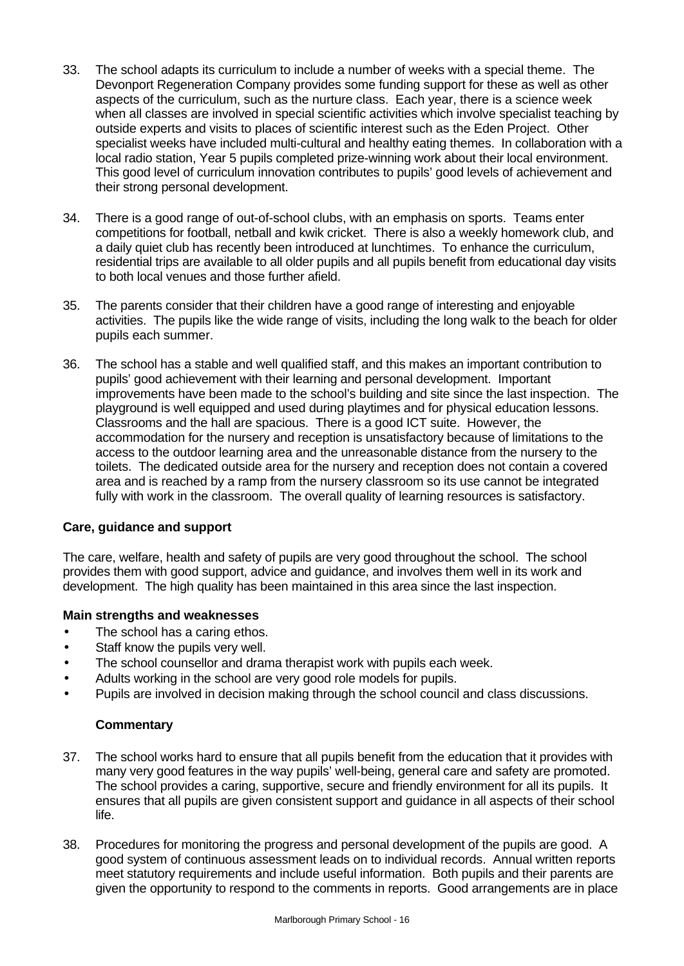- 33. The school adapts its curriculum to include a number of weeks with a special theme. The Devonport Regeneration Company provides some funding support for these as well as other aspects of the curriculum, such as the nurture class. Each year, there is a science week when all classes are involved in special scientific activities which involve specialist teaching by outside experts and visits to places of scientific interest such as the Eden Project. Other specialist weeks have included multi-cultural and healthy eating themes. In collaboration with a local radio station, Year 5 pupils completed prize-winning work about their local environment. This good level of curriculum innovation contributes to pupils' good levels of achievement and their strong personal development.
- 34. There is a good range of out-of-school clubs, with an emphasis on sports. Teams enter competitions for football, netball and kwik cricket. There is also a weekly homework club, and a daily quiet club has recently been introduced at lunchtimes. To enhance the curriculum, residential trips are available to all older pupils and all pupils benefit from educational day visits to both local venues and those further afield.
- 35. The parents consider that their children have a good range of interesting and enjoyable activities. The pupils like the wide range of visits, including the long walk to the beach for older pupils each summer.
- 36. The school has a stable and well qualified staff, and this makes an important contribution to pupils' good achievement with their learning and personal development. Important improvements have been made to the school's building and site since the last inspection. The playground is well equipped and used during playtimes and for physical education lessons. Classrooms and the hall are spacious. There is a good ICT suite. However, the accommodation for the nursery and reception is unsatisfactory because of limitations to the access to the outdoor learning area and the unreasonable distance from the nursery to the toilets. The dedicated outside area for the nursery and reception does not contain a covered area and is reached by a ramp from the nursery classroom so its use cannot be integrated fully with work in the classroom. The overall quality of learning resources is satisfactory.

## **Care, guidance and support**

The care, welfare, health and safety of pupils are very good throughout the school. The school provides them with good support, advice and guidance, and involves them well in its work and development. The high quality has been maintained in this area since the last inspection.

## **Main strengths and weaknesses**

- The school has a caring ethos.
- Staff know the pupils very well.
- The school counsellor and drama therapist work with pupils each week.
- Adults working in the school are very good role models for pupils.
- Pupils are involved in decision making through the school council and class discussions.

- 37. The school works hard to ensure that all pupils benefit from the education that it provides with many very good features in the way pupils' well-being, general care and safety are promoted. The school provides a caring, supportive, secure and friendly environment for all its pupils. It ensures that all pupils are given consistent support and guidance in all aspects of their school life.
- 38. Procedures for monitoring the progress and personal development of the pupils are good. A good system of continuous assessment leads on to individual records. Annual written reports meet statutory requirements and include useful information. Both pupils and their parents are given the opportunity to respond to the comments in reports. Good arrangements are in place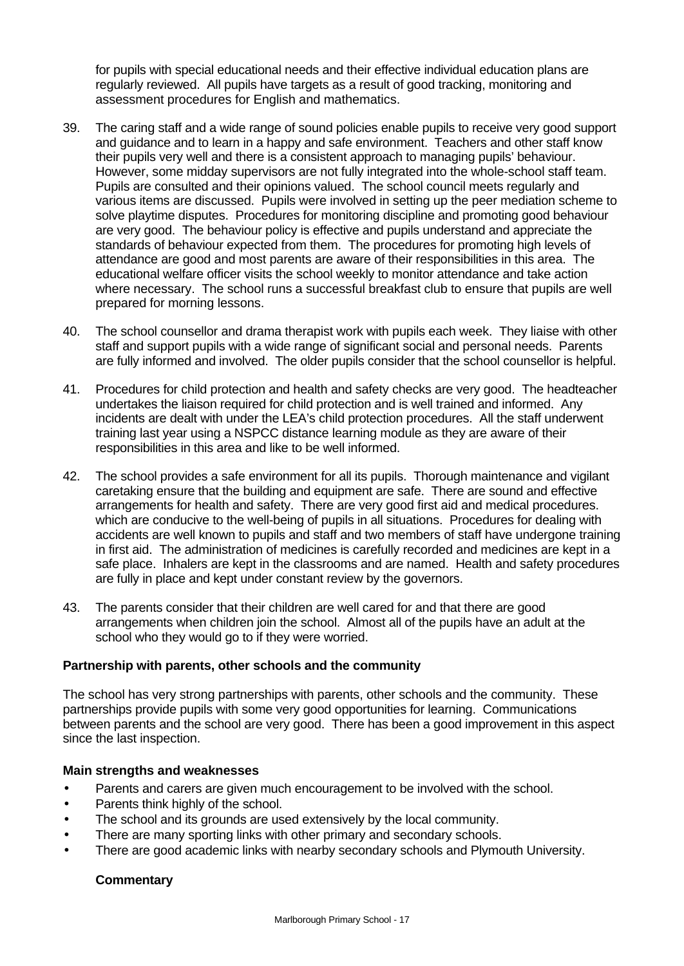for pupils with special educational needs and their effective individual education plans are regularly reviewed. All pupils have targets as a result of good tracking, monitoring and assessment procedures for English and mathematics.

- 39. The caring staff and a wide range of sound policies enable pupils to receive very good support and guidance and to learn in a happy and safe environment. Teachers and other staff know their pupils very well and there is a consistent approach to managing pupils' behaviour. However, some midday supervisors are not fully integrated into the whole-school staff team. Pupils are consulted and their opinions valued. The school council meets regularly and various items are discussed. Pupils were involved in setting up the peer mediation scheme to solve playtime disputes. Procedures for monitoring discipline and promoting good behaviour are very good. The behaviour policy is effective and pupils understand and appreciate the standards of behaviour expected from them. The procedures for promoting high levels of attendance are good and most parents are aware of their responsibilities in this area. The educational welfare officer visits the school weekly to monitor attendance and take action where necessary. The school runs a successful breakfast club to ensure that pupils are well prepared for morning lessons.
- 40. The school counsellor and drama therapist work with pupils each week. They liaise with other staff and support pupils with a wide range of significant social and personal needs. Parents are fully informed and involved. The older pupils consider that the school counsellor is helpful.
- 41. Procedures for child protection and health and safety checks are very good. The headteacher undertakes the liaison required for child protection and is well trained and informed. Any incidents are dealt with under the LEA's child protection procedures. All the staff underwent training last year using a NSPCC distance learning module as they are aware of their responsibilities in this area and like to be well informed.
- 42. The school provides a safe environment for all its pupils. Thorough maintenance and vigilant caretaking ensure that the building and equipment are safe. There are sound and effective arrangements for health and safety. There are very good first aid and medical procedures. which are conducive to the well-being of pupils in all situations. Procedures for dealing with accidents are well known to pupils and staff and two members of staff have undergone training in first aid. The administration of medicines is carefully recorded and medicines are kept in a safe place. Inhalers are kept in the classrooms and are named. Health and safety procedures are fully in place and kept under constant review by the governors.
- 43. The parents consider that their children are well cared for and that there are good arrangements when children join the school. Almost all of the pupils have an adult at the school who they would go to if they were worried.

## **Partnership with parents, other schools and the community**

The school has very strong partnerships with parents, other schools and the community. These partnerships provide pupils with some very good opportunities for learning. Communications between parents and the school are very good. There has been a good improvement in this aspect since the last inspection.

## **Main strengths and weaknesses**

- Parents and carers are given much encouragement to be involved with the school.
- Parents think highly of the school.
- The school and its grounds are used extensively by the local community.
- There are many sporting links with other primary and secondary schools.
- There are good academic links with nearby secondary schools and Plymouth University.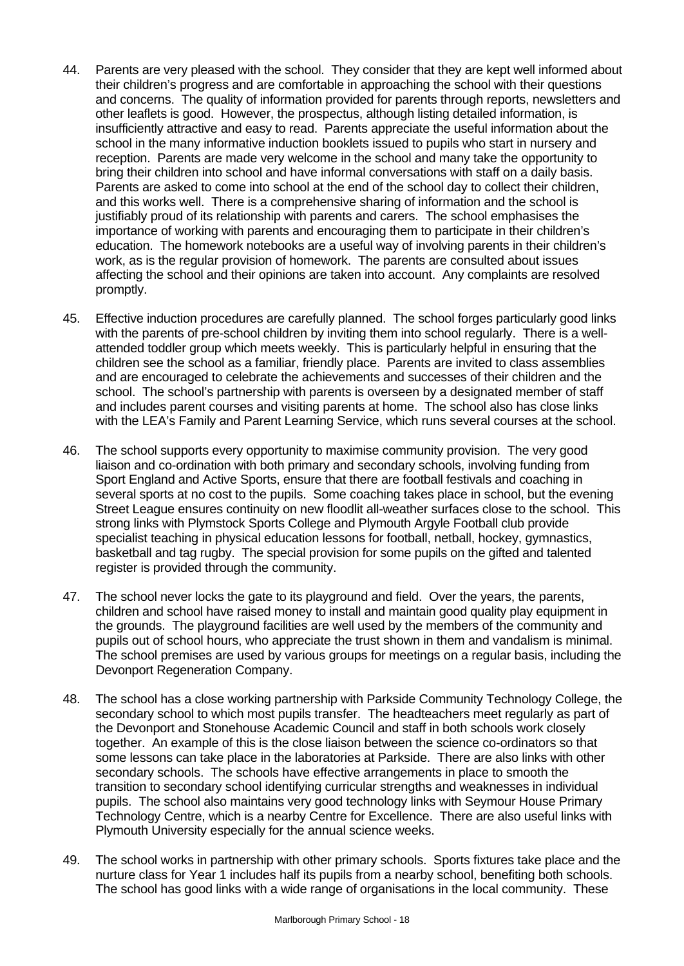- 44. Parents are very pleased with the school. They consider that they are kept well informed about their children's progress and are comfortable in approaching the school with their questions and concerns. The quality of information provided for parents through reports, newsletters and other leaflets is good. However, the prospectus, although listing detailed information, is insufficiently attractive and easy to read. Parents appreciate the useful information about the school in the many informative induction booklets issued to pupils who start in nursery and reception. Parents are made very welcome in the school and many take the opportunity to bring their children into school and have informal conversations with staff on a daily basis. Parents are asked to come into school at the end of the school day to collect their children, and this works well. There is a comprehensive sharing of information and the school is justifiably proud of its relationship with parents and carers. The school emphasises the importance of working with parents and encouraging them to participate in their children's education. The homework notebooks are a useful way of involving parents in their children's work, as is the regular provision of homework. The parents are consulted about issues affecting the school and their opinions are taken into account. Any complaints are resolved promptly.
- 45. Effective induction procedures are carefully planned. The school forges particularly good links with the parents of pre-school children by inviting them into school regularly. There is a wellattended toddler group which meets weekly. This is particularly helpful in ensuring that the children see the school as a familiar, friendly place. Parents are invited to class assemblies and are encouraged to celebrate the achievements and successes of their children and the school. The school's partnership with parents is overseen by a designated member of staff and includes parent courses and visiting parents at home. The school also has close links with the LEA's Family and Parent Learning Service, which runs several courses at the school.
- 46. The school supports every opportunity to maximise community provision. The very good liaison and co-ordination with both primary and secondary schools, involving funding from Sport England and Active Sports, ensure that there are football festivals and coaching in several sports at no cost to the pupils. Some coaching takes place in school, but the evening Street League ensures continuity on new floodlit all-weather surfaces close to the school. This strong links with Plymstock Sports College and Plymouth Argyle Football club provide specialist teaching in physical education lessons for football, netball, hockey, gymnastics, basketball and tag rugby. The special provision for some pupils on the gifted and talented register is provided through the community.
- 47. The school never locks the gate to its playground and field. Over the years, the parents, children and school have raised money to install and maintain good quality play equipment in the grounds. The playground facilities are well used by the members of the community and pupils out of school hours, who appreciate the trust shown in them and vandalism is minimal. The school premises are used by various groups for meetings on a regular basis, including the Devonport Regeneration Company.
- 48. The school has a close working partnership with Parkside Community Technology College, the secondary school to which most pupils transfer. The headteachers meet regularly as part of the Devonport and Stonehouse Academic Council and staff in both schools work closely together. An example of this is the close liaison between the science co-ordinators so that some lessons can take place in the laboratories at Parkside. There are also links with other secondary schools. The schools have effective arrangements in place to smooth the transition to secondary school identifying curricular strengths and weaknesses in individual pupils. The school also maintains very good technology links with Seymour House Primary Technology Centre, which is a nearby Centre for Excellence. There are also useful links with Plymouth University especially for the annual science weeks.
- 49. The school works in partnership with other primary schools. Sports fixtures take place and the nurture class for Year 1 includes half its pupils from a nearby school, benefiting both schools. The school has good links with a wide range of organisations in the local community. These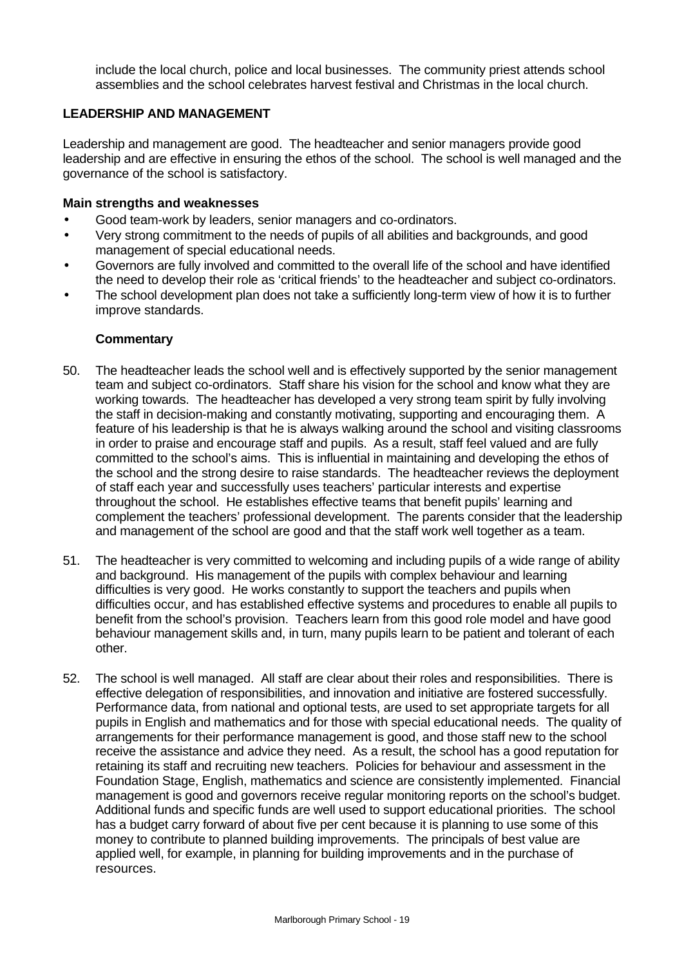include the local church, police and local businesses. The community priest attends school assemblies and the school celebrates harvest festival and Christmas in the local church.

## **LEADERSHIP AND MANAGEMENT**

Leadership and management are good. The headteacher and senior managers provide good leadership and are effective in ensuring the ethos of the school. The school is well managed and the governance of the school is satisfactory.

## **Main strengths and weaknesses**

- Good team-work by leaders, senior managers and co-ordinators.
- Very strong commitment to the needs of pupils of all abilities and backgrounds, and good management of special educational needs.
- Governors are fully involved and committed to the overall life of the school and have identified the need to develop their role as 'critical friends' to the headteacher and subject co-ordinators.
- The school development plan does not take a sufficiently long-term view of how it is to further improve standards.

- 50. The headteacher leads the school well and is effectively supported by the senior management team and subject co-ordinators. Staff share his vision for the school and know what they are working towards. The headteacher has developed a very strong team spirit by fully involving the staff in decision-making and constantly motivating, supporting and encouraging them. A feature of his leadership is that he is always walking around the school and visiting classrooms in order to praise and encourage staff and pupils. As a result, staff feel valued and are fully committed to the school's aims. This is influential in maintaining and developing the ethos of the school and the strong desire to raise standards. The headteacher reviews the deployment of staff each year and successfully uses teachers' particular interests and expertise throughout the school. He establishes effective teams that benefit pupils' learning and complement the teachers' professional development. The parents consider that the leadership and management of the school are good and that the staff work well together as a team.
- 51. The headteacher is very committed to welcoming and including pupils of a wide range of ability and background. His management of the pupils with complex behaviour and learning difficulties is very good. He works constantly to support the teachers and pupils when difficulties occur, and has established effective systems and procedures to enable all pupils to benefit from the school's provision. Teachers learn from this good role model and have good behaviour management skills and, in turn, many pupils learn to be patient and tolerant of each other.
- 52. The school is well managed. All staff are clear about their roles and responsibilities. There is effective delegation of responsibilities, and innovation and initiative are fostered successfully. Performance data, from national and optional tests, are used to set appropriate targets for all pupils in English and mathematics and for those with special educational needs. The quality of arrangements for their performance management is good, and those staff new to the school receive the assistance and advice they need. As a result, the school has a good reputation for retaining its staff and recruiting new teachers. Policies for behaviour and assessment in the Foundation Stage, English, mathematics and science are consistently implemented. Financial management is good and governors receive regular monitoring reports on the school's budget. Additional funds and specific funds are well used to support educational priorities. The school has a budget carry forward of about five per cent because it is planning to use some of this money to contribute to planned building improvements. The principals of best value are applied well, for example, in planning for building improvements and in the purchase of resources.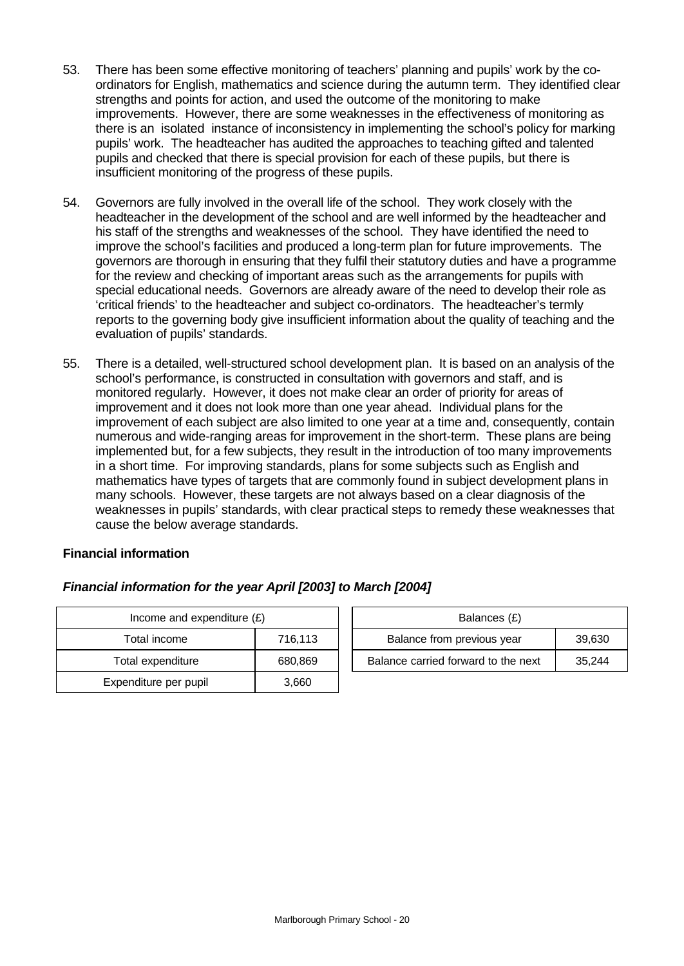- 53. There has been some effective monitoring of teachers' planning and pupils' work by the coordinators for English, mathematics and science during the autumn term. They identified clear strengths and points for action, and used the outcome of the monitoring to make improvements. However, there are some weaknesses in the effectiveness of monitoring as there is an isolated instance of inconsistency in implementing the school's policy for marking pupils' work. The headteacher has audited the approaches to teaching gifted and talented pupils and checked that there is special provision for each of these pupils, but there is insufficient monitoring of the progress of these pupils.
- 54. Governors are fully involved in the overall life of the school. They work closely with the headteacher in the development of the school and are well informed by the headteacher and his staff of the strengths and weaknesses of the school. They have identified the need to improve the school's facilities and produced a long-term plan for future improvements. The governors are thorough in ensuring that they fulfil their statutory duties and have a programme for the review and checking of important areas such as the arrangements for pupils with special educational needs. Governors are already aware of the need to develop their role as 'critical friends' to the headteacher and subject co-ordinators. The headteacher's termly reports to the governing body give insufficient information about the quality of teaching and the evaluation of pupils' standards.
- 55. There is a detailed, well-structured school development plan. It is based on an analysis of the school's performance, is constructed in consultation with governors and staff, and is monitored regularly. However, it does not make clear an order of priority for areas of improvement and it does not look more than one year ahead. Individual plans for the improvement of each subject are also limited to one year at a time and, consequently, contain numerous and wide-ranging areas for improvement in the short-term. These plans are being implemented but, for a few subjects, they result in the introduction of too many improvements in a short time. For improving standards, plans for some subjects such as English and mathematics have types of targets that are commonly found in subject development plans in many schools. However, these targets are not always based on a clear diagnosis of the weaknesses in pupils' standards, with clear practical steps to remedy these weaknesses that cause the below average standards.

## **Financial information**

| Income and expenditure $(E)$ | Balances (£) |                                  |
|------------------------------|--------------|----------------------------------|
| Total income                 | 716,113      | Balance from previous year       |
| Total expenditure            | 680,869      | Balance carried forward to the r |
| Expenditure per pupil        | 3,660        |                                  |

| Financial information for the year April [2003] to March [2004] |  |  |  |  |
|-----------------------------------------------------------------|--|--|--|--|
|                                                                 |  |  |  |  |

| Income and expenditure $(E)$ |         | Balances (£)                        |        |  |  |
|------------------------------|---------|-------------------------------------|--------|--|--|
| Total income                 | 716.113 | Balance from previous year          | 39,630 |  |  |
| Total expenditure            | 680.869 | Balance carried forward to the next | 35.244 |  |  |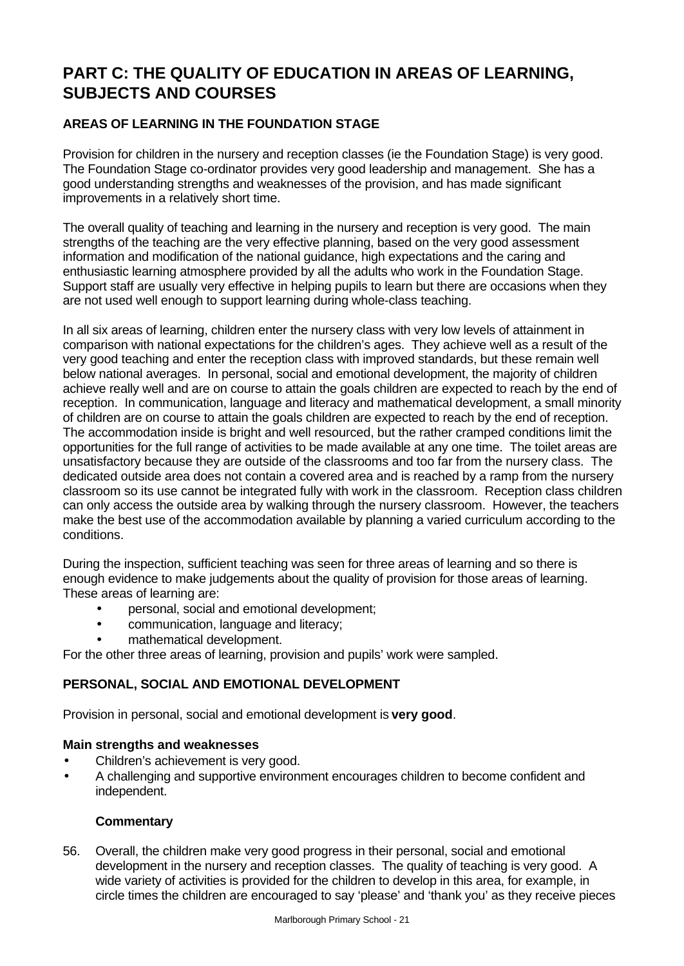# **PART C: THE QUALITY OF EDUCATION IN AREAS OF LEARNING, SUBJECTS AND COURSES**

## **AREAS OF LEARNING IN THE FOUNDATION STAGE**

Provision for children in the nursery and reception classes (ie the Foundation Stage) is very good. The Foundation Stage co-ordinator provides very good leadership and management. She has a good understanding strengths and weaknesses of the provision, and has made significant improvements in a relatively short time.

The overall quality of teaching and learning in the nursery and reception is very good. The main strengths of the teaching are the very effective planning, based on the very good assessment information and modification of the national guidance, high expectations and the caring and enthusiastic learning atmosphere provided by all the adults who work in the Foundation Stage. Support staff are usually very effective in helping pupils to learn but there are occasions when they are not used well enough to support learning during whole-class teaching.

In all six areas of learning, children enter the nursery class with very low levels of attainment in comparison with national expectations for the children's ages. They achieve well as a result of the very good teaching and enter the reception class with improved standards, but these remain well below national averages. In personal, social and emotional development, the majority of children achieve really well and are on course to attain the goals children are expected to reach by the end of reception. In communication, language and literacy and mathematical development, a small minority of children are on course to attain the goals children are expected to reach by the end of reception. The accommodation inside is bright and well resourced, but the rather cramped conditions limit the opportunities for the full range of activities to be made available at any one time. The toilet areas are unsatisfactory because they are outside of the classrooms and too far from the nursery class. The dedicated outside area does not contain a covered area and is reached by a ramp from the nursery classroom so its use cannot be integrated fully with work in the classroom. Reception class children can only access the outside area by walking through the nursery classroom. However, the teachers make the best use of the accommodation available by planning a varied curriculum according to the conditions.

During the inspection, sufficient teaching was seen for three areas of learning and so there is enough evidence to make judgements about the quality of provision for those areas of learning. These areas of learning are:

- personal, social and emotional development;
- communication, language and literacy;
- mathematical development.

For the other three areas of learning, provision and pupils' work were sampled.

## **PERSONAL, SOCIAL AND EMOTIONAL DEVELOPMENT**

Provision in personal, social and emotional development is **very good**.

## **Main strengths and weaknesses**

- Children's achievement is very good.
- A challenging and supportive environment encourages children to become confident and independent.

## **Commentary**

56. Overall, the children make very good progress in their personal, social and emotional development in the nursery and reception classes. The quality of teaching is very good. A wide variety of activities is provided for the children to develop in this area, for example, in circle times the children are encouraged to say 'please' and 'thank you' as they receive pieces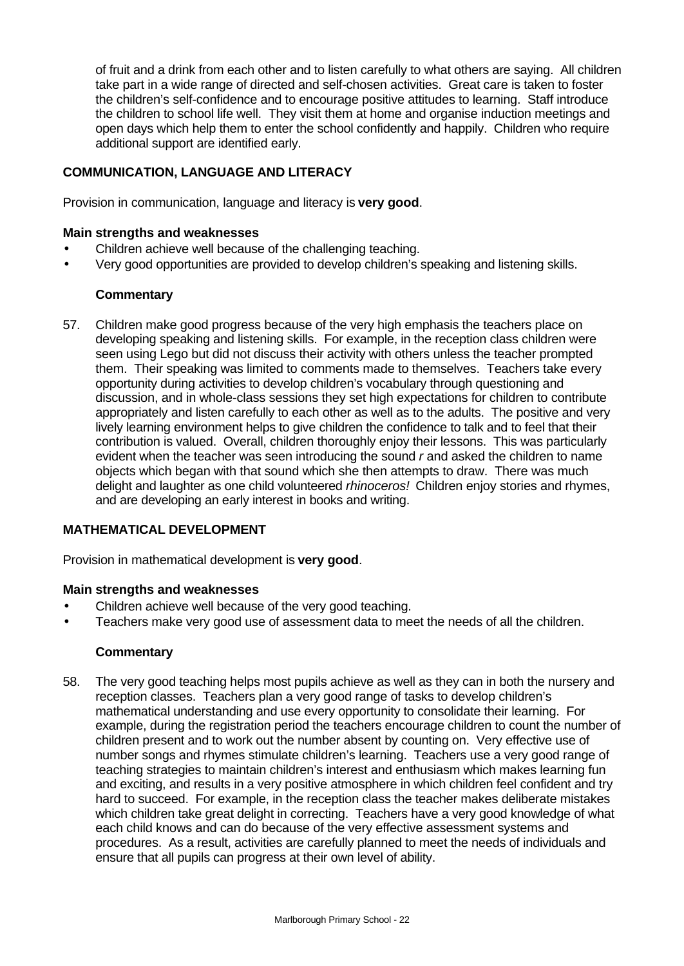of fruit and a drink from each other and to listen carefully to what others are saying. All children take part in a wide range of directed and self-chosen activities. Great care is taken to foster the children's self-confidence and to encourage positive attitudes to learning. Staff introduce the children to school life well. They visit them at home and organise induction meetings and open days which help them to enter the school confidently and happily. Children who require additional support are identified early.

## **COMMUNICATION, LANGUAGE AND LITERACY**

Provision in communication, language and literacy is **very good**.

## **Main strengths and weaknesses**

- Children achieve well because of the challenging teaching.
- Very good opportunities are provided to develop children's speaking and listening skills.

## **Commentary**

57. Children make good progress because of the very high emphasis the teachers place on developing speaking and listening skills. For example, in the reception class children were seen using Lego but did not discuss their activity with others unless the teacher prompted them. Their speaking was limited to comments made to themselves. Teachers take every opportunity during activities to develop children's vocabulary through questioning and discussion, and in whole-class sessions they set high expectations for children to contribute appropriately and listen carefully to each other as well as to the adults. The positive and very lively learning environment helps to give children the confidence to talk and to feel that their contribution is valued. Overall, children thoroughly enjoy their lessons. This was particularly evident when the teacher was seen introducing the sound *r* and asked the children to name objects which began with that sound which she then attempts to draw. There was much delight and laughter as one child volunteered *rhinoceros!* Children enjoy stories and rhymes, and are developing an early interest in books and writing.

## **MATHEMATICAL DEVELOPMENT**

Provision in mathematical development is **very good**.

## **Main strengths and weaknesses**

- Children achieve well because of the very good teaching.
- Teachers make very good use of assessment data to meet the needs of all the children.

## **Commentary**

58. The very good teaching helps most pupils achieve as well as they can in both the nursery and reception classes. Teachers plan a very good range of tasks to develop children's mathematical understanding and use every opportunity to consolidate their learning. For example, during the registration period the teachers encourage children to count the number of children present and to work out the number absent by counting on. Very effective use of number songs and rhymes stimulate children's learning. Teachers use a very good range of teaching strategies to maintain children's interest and enthusiasm which makes learning fun and exciting, and results in a very positive atmosphere in which children feel confident and try hard to succeed. For example, in the reception class the teacher makes deliberate mistakes which children take great delight in correcting. Teachers have a very good knowledge of what each child knows and can do because of the very effective assessment systems and procedures. As a result, activities are carefully planned to meet the needs of individuals and ensure that all pupils can progress at their own level of ability.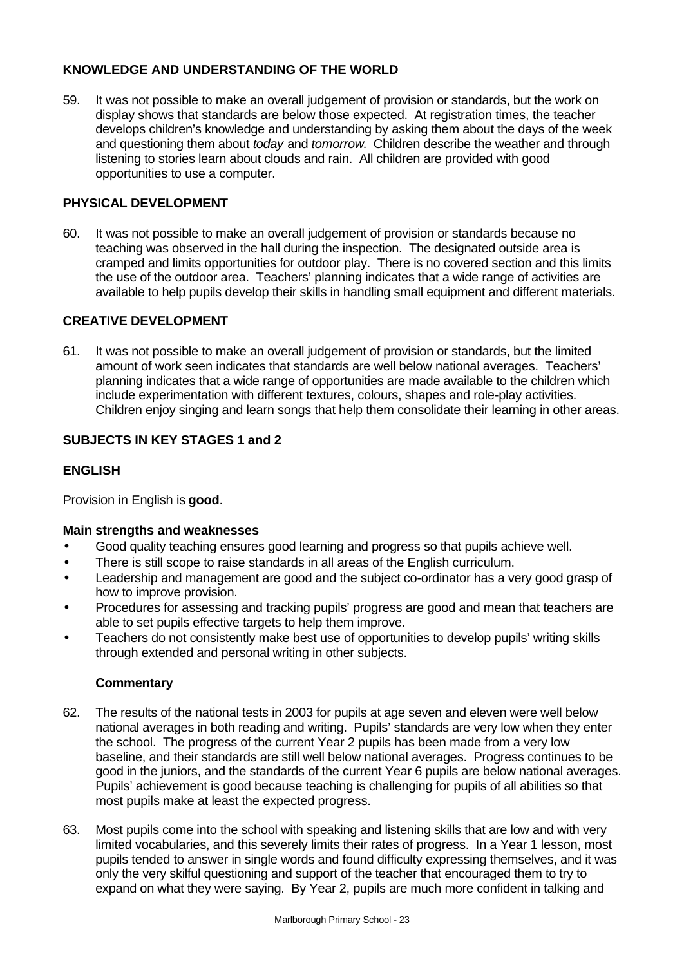## **KNOWLEDGE AND UNDERSTANDING OF THE WORLD**

59. It was not possible to make an overall judgement of provision or standards, but the work on display shows that standards are below those expected. At registration times, the teacher develops children's knowledge and understanding by asking them about the days of the week and questioning them about *today* and *tomorrow*. Children describe the weather and through listening to stories learn about clouds and rain. All children are provided with good opportunities to use a computer.

## **PHYSICAL DEVELOPMENT**

60. It was not possible to make an overall judgement of provision or standards because no teaching was observed in the hall during the inspection. The designated outside area is cramped and limits opportunities for outdoor play. There is no covered section and this limits the use of the outdoor area. Teachers' planning indicates that a wide range of activities are available to help pupils develop their skills in handling small equipment and different materials.

## **CREATIVE DEVELOPMENT**

61. It was not possible to make an overall judgement of provision or standards, but the limited amount of work seen indicates that standards are well below national averages. Teachers' planning indicates that a wide range of opportunities are made available to the children which include experimentation with different textures, colours, shapes and role-play activities. Children enjoy singing and learn songs that help them consolidate their learning in other areas.

## **SUBJECTS IN KEY STAGES 1 and 2**

## **ENGLISH**

Provision in English is **good**.

#### **Main strengths and weaknesses**

- Good quality teaching ensures good learning and progress so that pupils achieve well.
- There is still scope to raise standards in all areas of the English curriculum.
- Leadership and management are good and the subject co-ordinator has a very good grasp of how to improve provision.
- Procedures for assessing and tracking pupils' progress are good and mean that teachers are able to set pupils effective targets to help them improve.
- Teachers do not consistently make best use of opportunities to develop pupils' writing skills through extended and personal writing in other subjects.

- 62. The results of the national tests in 2003 for pupils at age seven and eleven were well below national averages in both reading and writing. Pupils' standards are very low when they enter the school. The progress of the current Year 2 pupils has been made from a very low baseline, and their standards are still well below national averages. Progress continues to be good in the juniors, and the standards of the current Year 6 pupils are below national averages. Pupils' achievement is good because teaching is challenging for pupils of all abilities so that most pupils make at least the expected progress.
- 63. Most pupils come into the school with speaking and listening skills that are low and with very limited vocabularies, and this severely limits their rates of progress. In a Year 1 lesson, most pupils tended to answer in single words and found difficulty expressing themselves, and it was only the very skilful questioning and support of the teacher that encouraged them to try to expand on what they were saying. By Year 2, pupils are much more confident in talking and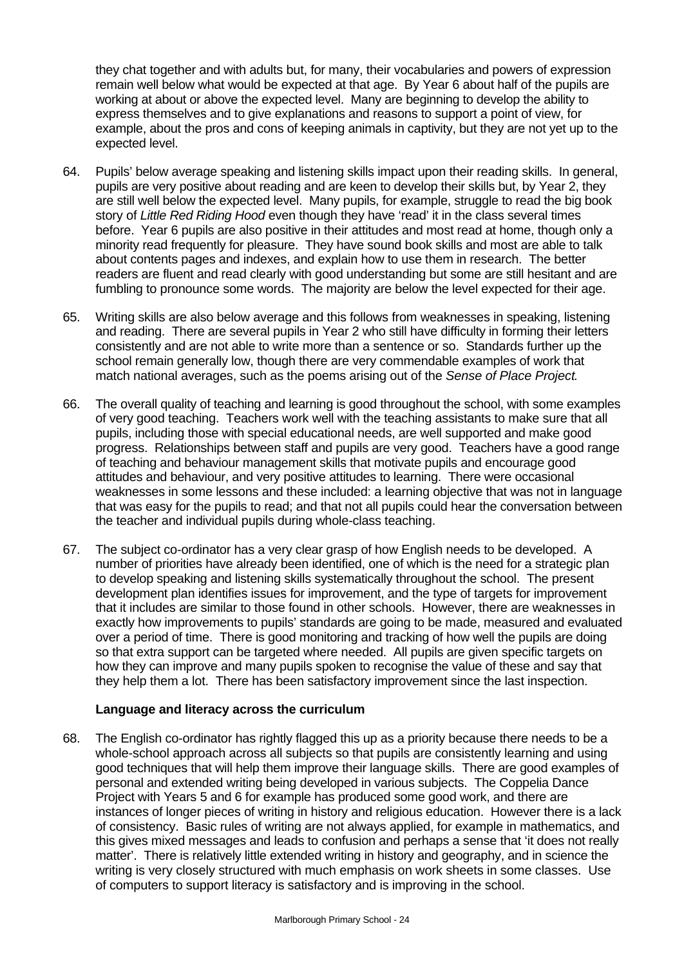they chat together and with adults but, for many, their vocabularies and powers of expression remain well below what would be expected at that age. By Year 6 about half of the pupils are working at about or above the expected level. Many are beginning to develop the ability to express themselves and to give explanations and reasons to support a point of view, for example, about the pros and cons of keeping animals in captivity, but they are not yet up to the expected level.

- 64. Pupils' below average speaking and listening skills impact upon their reading skills. In general, pupils are very positive about reading and are keen to develop their skills but, by Year 2, they are still well below the expected level. Many pupils, for example, struggle to read the big book story of *Little Red Riding Hood* even though they have 'read' it in the class several times before. Year 6 pupils are also positive in their attitudes and most read at home, though only a minority read frequently for pleasure. They have sound book skills and most are able to talk about contents pages and indexes, and explain how to use them in research. The better readers are fluent and read clearly with good understanding but some are still hesitant and are fumbling to pronounce some words. The majority are below the level expected for their age.
- 65. Writing skills are also below average and this follows from weaknesses in speaking, listening and reading. There are several pupils in Year 2 who still have difficulty in forming their letters consistently and are not able to write more than a sentence or so. Standards further up the school remain generally low, though there are very commendable examples of work that match national averages, such as the poems arising out of the *Sense of Place Project*.
- 66. The overall quality of teaching and learning is good throughout the school, with some examples of very good teaching. Teachers work well with the teaching assistants to make sure that all pupils, including those with special educational needs, are well supported and make good progress. Relationships between staff and pupils are very good. Teachers have a good range of teaching and behaviour management skills that motivate pupils and encourage good attitudes and behaviour, and very positive attitudes to learning. There were occasional weaknesses in some lessons and these included: a learning objective that was not in language that was easy for the pupils to read; and that not all pupils could hear the conversation between the teacher and individual pupils during whole-class teaching.
- 67. The subject co-ordinator has a very clear grasp of how English needs to be developed. A number of priorities have already been identified, one of which is the need for a strategic plan to develop speaking and listening skills systematically throughout the school. The present development plan identifies issues for improvement, and the type of targets for improvement that it includes are similar to those found in other schools. However, there are weaknesses in exactly how improvements to pupils' standards are going to be made, measured and evaluated over a period of time. There is good monitoring and tracking of how well the pupils are doing so that extra support can be targeted where needed. All pupils are given specific targets on how they can improve and many pupils spoken to recognise the value of these and say that they help them a lot. There has been satisfactory improvement since the last inspection.

## **Language and literacy across the curriculum**

68. The English co-ordinator has rightly flagged this up as a priority because there needs to be a whole-school approach across all subjects so that pupils are consistently learning and using good techniques that will help them improve their language skills. There are good examples of personal and extended writing being developed in various subjects. The Coppelia Dance Project with Years 5 and 6 for example has produced some good work, and there are instances of longer pieces of writing in history and religious education. However there is a lack of consistency. Basic rules of writing are not always applied, for example in mathematics, and this gives mixed messages and leads to confusion and perhaps a sense that 'it does not really matter'. There is relatively little extended writing in history and geography, and in science the writing is very closely structured with much emphasis on work sheets in some classes. Use of computers to support literacy is satisfactory and is improving in the school.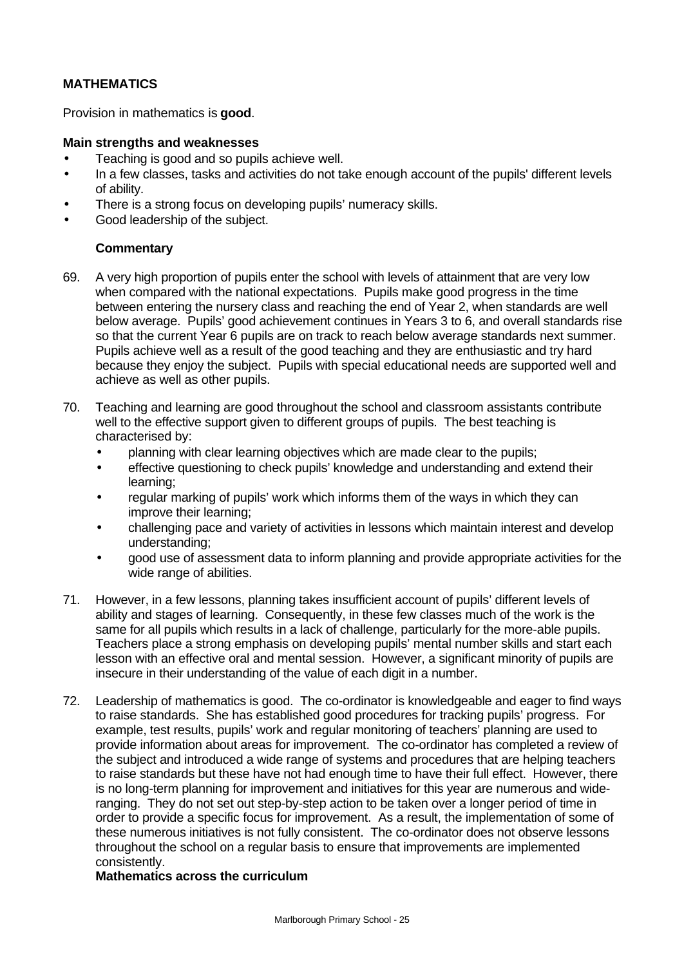## **MATHEMATICS**

Provision in mathematics is **good**.

#### **Main strengths and weaknesses**

- Teaching is good and so pupils achieve well.
- In a few classes, tasks and activities do not take enough account of the pupils' different levels of ability.
- There is a strong focus on developing pupils' numeracy skills.
- Good leadership of the subject.

## **Commentary**

- 69. A very high proportion of pupils enter the school with levels of attainment that are very low when compared with the national expectations. Pupils make good progress in the time between entering the nursery class and reaching the end of Year 2, when standards are well below average. Pupils' good achievement continues in Years 3 to 6, and overall standards rise so that the current Year 6 pupils are on track to reach below average standards next summer. Pupils achieve well as a result of the good teaching and they are enthusiastic and try hard because they enjoy the subject. Pupils with special educational needs are supported well and achieve as well as other pupils.
- 70. Teaching and learning are good throughout the school and classroom assistants contribute well to the effective support given to different groups of pupils. The best teaching is characterised by:
	- planning with clear learning objectives which are made clear to the pupils;
	- effective questioning to check pupils' knowledge and understanding and extend their learning;
	- regular marking of pupils' work which informs them of the ways in which they can improve their learning;
	- challenging pace and variety of activities in lessons which maintain interest and develop understanding;
	- good use of assessment data to inform planning and provide appropriate activities for the wide range of abilities.
- 71. However, in a few lessons, planning takes insufficient account of pupils' different levels of ability and stages of learning. Consequently, in these few classes much of the work is the same for all pupils which results in a lack of challenge, particularly for the more-able pupils. Teachers place a strong emphasis on developing pupils' mental number skills and start each lesson with an effective oral and mental session. However, a significant minority of pupils are insecure in their understanding of the value of each digit in a number.
- 72. Leadership of mathematics is good. The co-ordinator is knowledgeable and eager to find ways to raise standards. She has established good procedures for tracking pupils' progress. For example, test results, pupils' work and regular monitoring of teachers' planning are used to provide information about areas for improvement. The co-ordinator has completed a review of the subject and introduced a wide range of systems and procedures that are helping teachers to raise standards but these have not had enough time to have their full effect. However, there is no long-term planning for improvement and initiatives for this year are numerous and wideranging. They do not set out step-by-step action to be taken over a longer period of time in order to provide a specific focus for improvement. As a result, the implementation of some of these numerous initiatives is not fully consistent. The co-ordinator does not observe lessons throughout the school on a regular basis to ensure that improvements are implemented consistently.

#### **Mathematics across the curriculum**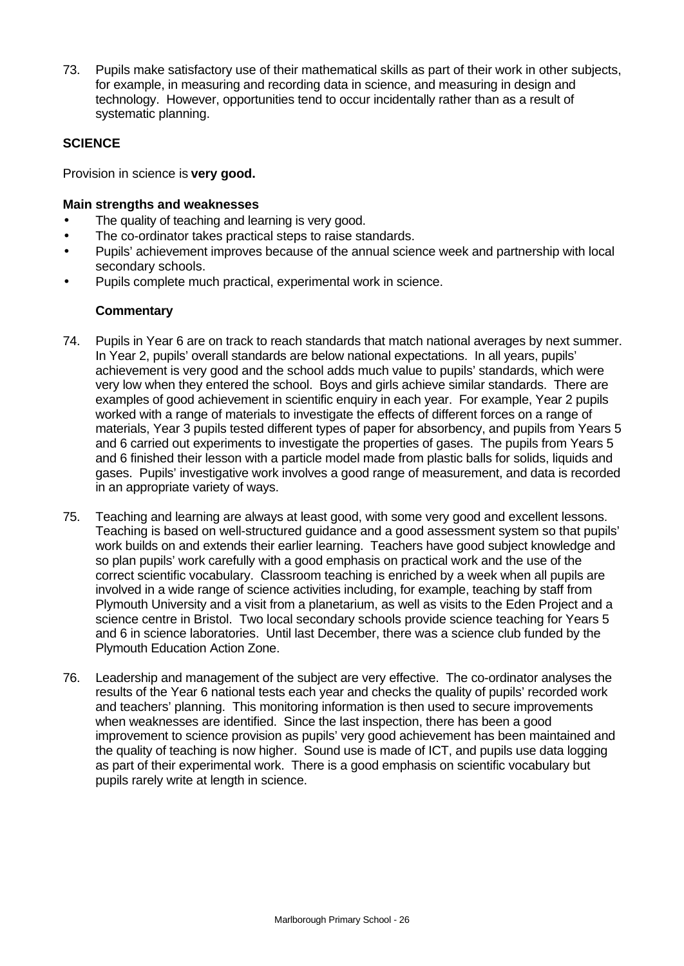73. Pupils make satisfactory use of their mathematical skills as part of their work in other subjects, for example, in measuring and recording data in science, and measuring in design and technology. However, opportunities tend to occur incidentally rather than as a result of systematic planning.

## **SCIENCE**

Provision in science is **very good.**

## **Main strengths and weaknesses**

- The quality of teaching and learning is very good.
- The co-ordinator takes practical steps to raise standards.
- Pupils' achievement improves because of the annual science week and partnership with local secondary schools.
- Pupils complete much practical, experimental work in science.

- 74. Pupils in Year 6 are on track to reach standards that match national averages by next summer. In Year 2, pupils' overall standards are below national expectations. In all years, pupils' achievement is very good and the school adds much value to pupils' standards, which were very low when they entered the school. Boys and girls achieve similar standards. There are examples of good achievement in scientific enquiry in each year. For example, Year 2 pupils worked with a range of materials to investigate the effects of different forces on a range of materials, Year 3 pupils tested different types of paper for absorbency, and pupils from Years 5 and 6 carried out experiments to investigate the properties of gases. The pupils from Years 5 and 6 finished their lesson with a particle model made from plastic balls for solids, liquids and gases. Pupils' investigative work involves a good range of measurement, and data is recorded in an appropriate variety of ways.
- 75. Teaching and learning are always at least good, with some very good and excellent lessons. Teaching is based on well-structured guidance and a good assessment system so that pupils' work builds on and extends their earlier learning. Teachers have good subject knowledge and so plan pupils' work carefully with a good emphasis on practical work and the use of the correct scientific vocabulary. Classroom teaching is enriched by a week when all pupils are involved in a wide range of science activities including, for example, teaching by staff from Plymouth University and a visit from a planetarium, as well as visits to the Eden Project and a science centre in Bristol. Two local secondary schools provide science teaching for Years 5 and 6 in science laboratories. Until last December, there was a science club funded by the Plymouth Education Action Zone.
- 76. Leadership and management of the subject are very effective. The co-ordinator analyses the results of the Year 6 national tests each year and checks the quality of pupils' recorded work and teachers' planning. This monitoring information is then used to secure improvements when weaknesses are identified. Since the last inspection, there has been a good improvement to science provision as pupils' very good achievement has been maintained and the quality of teaching is now higher. Sound use is made of ICT, and pupils use data logging as part of their experimental work. There is a good emphasis on scientific vocabulary but pupils rarely write at length in science.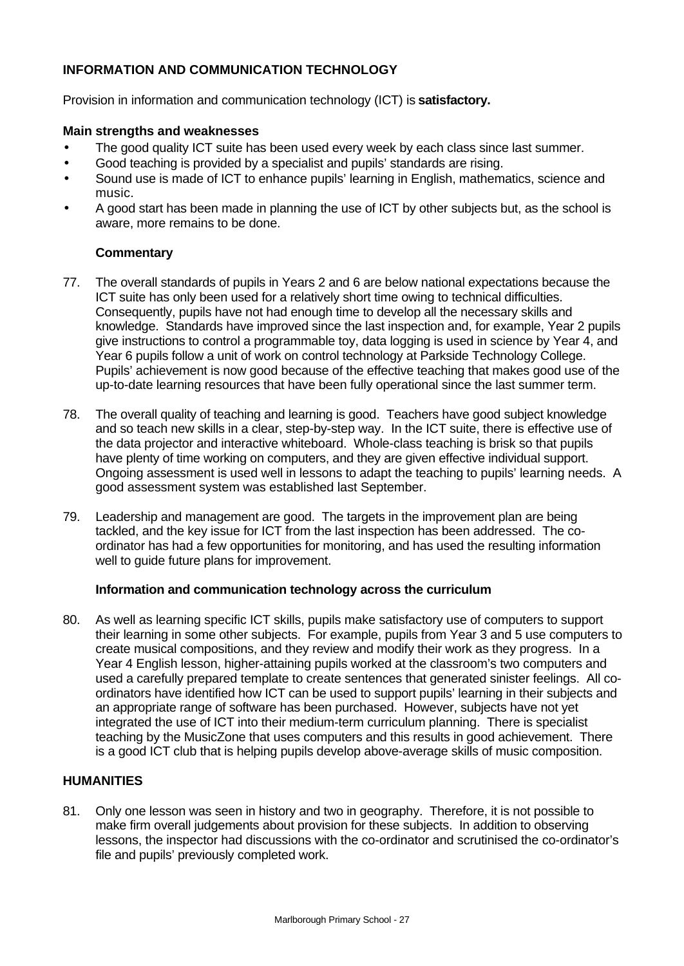## **INFORMATION AND COMMUNICATION TECHNOLOGY**

Provision in information and communication technology (ICT) is **satisfactory.**

#### **Main strengths and weaknesses**

- The good quality ICT suite has been used every week by each class since last summer.
- Good teaching is provided by a specialist and pupils' standards are rising.
- Sound use is made of ICT to enhance pupils' learning in English, mathematics, science and music.
- A good start has been made in planning the use of ICT by other subjects but, as the school is aware, more remains to be done.

## **Commentary**

- 77. The overall standards of pupils in Years 2 and 6 are below national expectations because the ICT suite has only been used for a relatively short time owing to technical difficulties. Consequently, pupils have not had enough time to develop all the necessary skills and knowledge. Standards have improved since the last inspection and, for example, Year 2 pupils give instructions to control a programmable toy, data logging is used in science by Year 4, and Year 6 pupils follow a unit of work on control technology at Parkside Technology College. Pupils' achievement is now good because of the effective teaching that makes good use of the up-to-date learning resources that have been fully operational since the last summer term.
- 78. The overall quality of teaching and learning is good. Teachers have good subject knowledge and so teach new skills in a clear, step-by-step way. In the ICT suite, there is effective use of the data projector and interactive whiteboard. Whole-class teaching is brisk so that pupils have plenty of time working on computers, and they are given effective individual support. Ongoing assessment is used well in lessons to adapt the teaching to pupils' learning needs. A good assessment system was established last September.
- 79. Leadership and management are good. The targets in the improvement plan are being tackled, and the key issue for ICT from the last inspection has been addressed. The coordinator has had a few opportunities for monitoring, and has used the resulting information well to guide future plans for improvement.

#### **Information and communication technology across the curriculum**

80. As well as learning specific ICT skills, pupils make satisfactory use of computers to support their learning in some other subjects. For example, pupils from Year 3 and 5 use computers to create musical compositions, and they review and modify their work as they progress. In a Year 4 English lesson, higher-attaining pupils worked at the classroom's two computers and used a carefully prepared template to create sentences that generated sinister feelings. All coordinators have identified how ICT can be used to support pupils' learning in their subjects and an appropriate range of software has been purchased. However, subjects have not yet integrated the use of ICT into their medium-term curriculum planning. There is specialist teaching by the MusicZone that uses computers and this results in good achievement. There is a good ICT club that is helping pupils develop above-average skills of music composition.

## **HUMANITIES**

81. Only one lesson was seen in history and two in geography. Therefore, it is not possible to make firm overall judgements about provision for these subjects. In addition to observing lessons, the inspector had discussions with the co-ordinator and scrutinised the co-ordinator's file and pupils' previously completed work.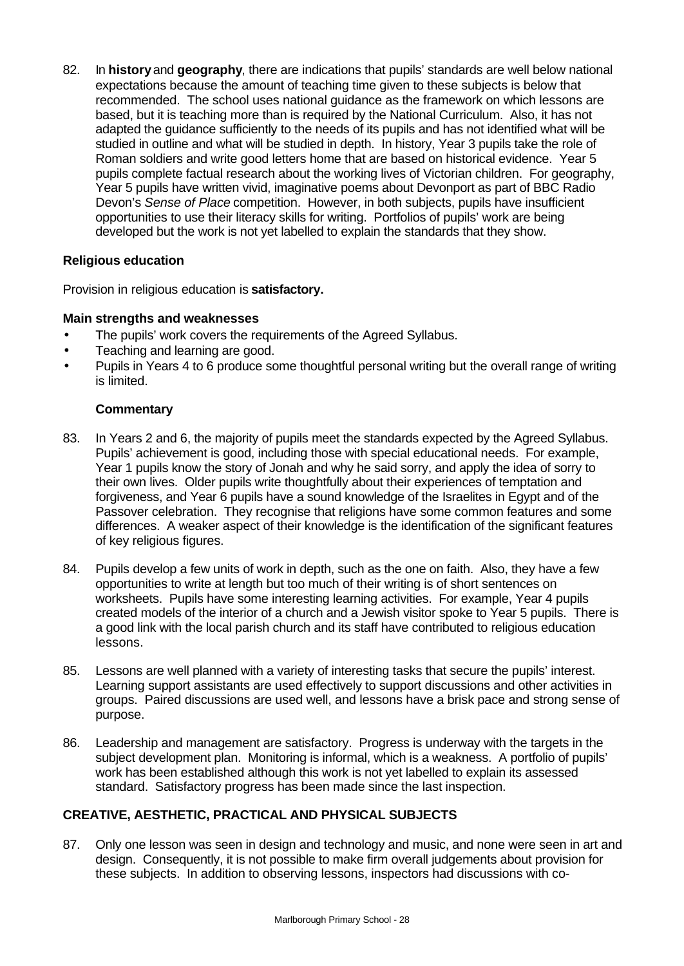82. In **history** and **geography**, there are indications that pupils' standards are well below national expectations because the amount of teaching time given to these subjects is below that recommended. The school uses national guidance as the framework on which lessons are based, but it is teaching more than is required by the National Curriculum. Also, it has not adapted the guidance sufficiently to the needs of its pupils and has not identified what will be studied in outline and what will be studied in depth. In history, Year 3 pupils take the role of Roman soldiers and write good letters home that are based on historical evidence. Year 5 pupils complete factual research about the working lives of Victorian children. For geography, Year 5 pupils have written vivid, imaginative poems about Devonport as part of BBC Radio Devon's *Sense of Place* competition. However, in both subjects, pupils have insufficient opportunities to use their literacy skills for writing. Portfolios of pupils' work are being developed but the work is not yet labelled to explain the standards that they show.

## **Religious education**

Provision in religious education is **satisfactory.**

## **Main strengths and weaknesses**

- The pupils' work covers the requirements of the Agreed Syllabus.
- Teaching and learning are good.
- Pupils in Years 4 to 6 produce some thoughtful personal writing but the overall range of writing is limited.

## **Commentary**

- 83. In Years 2 and 6, the majority of pupils meet the standards expected by the Agreed Syllabus. Pupils' achievement is good, including those with special educational needs. For example, Year 1 pupils know the story of Jonah and why he said sorry, and apply the idea of sorry to their own lives. Older pupils write thoughtfully about their experiences of temptation and forgiveness, and Year 6 pupils have a sound knowledge of the Israelites in Egypt and of the Passover celebration. They recognise that religions have some common features and some differences. A weaker aspect of their knowledge is the identification of the significant features of key religious figures.
- 84. Pupils develop a few units of work in depth, such as the one on faith. Also, they have a few opportunities to write at length but too much of their writing is of short sentences on worksheets. Pupils have some interesting learning activities. For example, Year 4 pupils created models of the interior of a church and a Jewish visitor spoke to Year 5 pupils. There is a good link with the local parish church and its staff have contributed to religious education lessons.
- 85. Lessons are well planned with a variety of interesting tasks that secure the pupils' interest. Learning support assistants are used effectively to support discussions and other activities in groups. Paired discussions are used well, and lessons have a brisk pace and strong sense of purpose.
- 86. Leadership and management are satisfactory. Progress is underway with the targets in the subject development plan. Monitoring is informal, which is a weakness. A portfolio of pupils' work has been established although this work is not yet labelled to explain its assessed standard. Satisfactory progress has been made since the last inspection.

## **CREATIVE, AESTHETIC, PRACTICAL AND PHYSICAL SUBJECTS**

87. Only one lesson was seen in design and technology and music, and none were seen in art and design. Consequently, it is not possible to make firm overall judgements about provision for these subjects. In addition to observing lessons, inspectors had discussions with co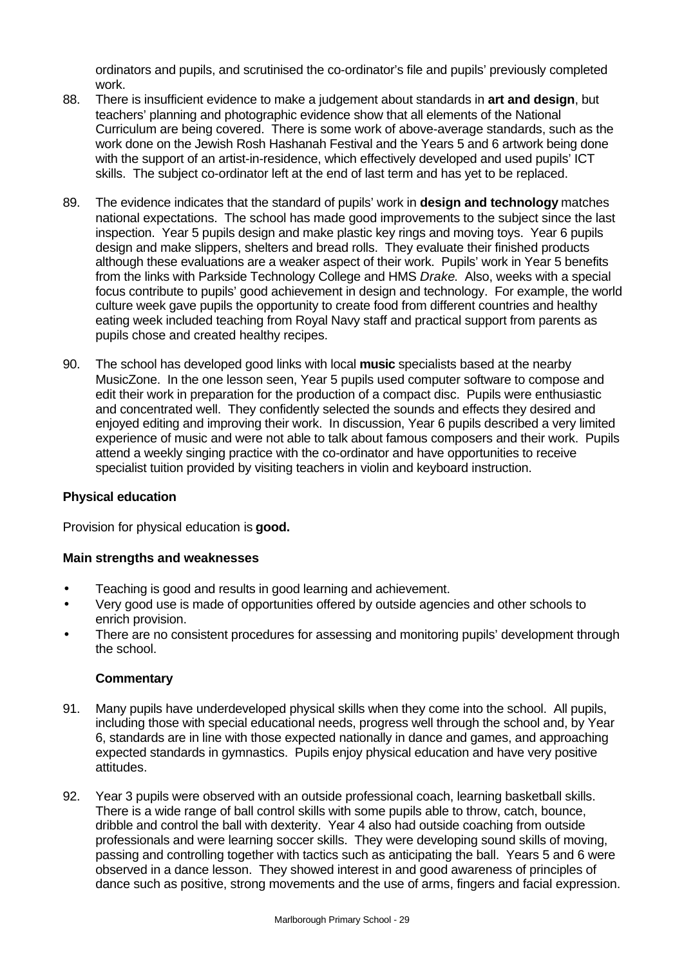ordinators and pupils, and scrutinised the co-ordinator's file and pupils' previously completed work.

- 88. There is insufficient evidence to make a judgement about standards in **art and design**, but teachers' planning and photographic evidence show that all elements of the National Curriculum are being covered. There is some work of above-average standards, such as the work done on the Jewish Rosh Hashanah Festival and the Years 5 and 6 artwork being done with the support of an artist-in-residence, which effectively developed and used pupils' ICT skills. The subject co-ordinator left at the end of last term and has yet to be replaced.
- 89. The evidence indicates that the standard of pupils' work in **design and technology** matches national expectations. The school has made good improvements to the subject since the last inspection. Year 5 pupils design and make plastic key rings and moving toys. Year 6 pupils design and make slippers, shelters and bread rolls. They evaluate their finished products although these evaluations are a weaker aspect of their work. Pupils' work in Year 5 benefits from the links with Parkside Technology College and HMS *Drake*. Also, weeks with a special focus contribute to pupils' good achievement in design and technology. For example, the world culture week gave pupils the opportunity to create food from different countries and healthy eating week included teaching from Royal Navy staff and practical support from parents as pupils chose and created healthy recipes.
- 90. The school has developed good links with local **music** specialists based at the nearby MusicZone. In the one lesson seen, Year 5 pupils used computer software to compose and edit their work in preparation for the production of a compact disc. Pupils were enthusiastic and concentrated well. They confidently selected the sounds and effects they desired and enjoyed editing and improving their work. In discussion, Year 6 pupils described a very limited experience of music and were not able to talk about famous composers and their work. Pupils attend a weekly singing practice with the co-ordinator and have opportunities to receive specialist tuition provided by visiting teachers in violin and keyboard instruction.

## **Physical education**

Provision for physical education is **good.**

#### **Main strengths and weaknesses**

- Teaching is good and results in good learning and achievement.
- Very good use is made of opportunities offered by outside agencies and other schools to enrich provision.
- There are no consistent procedures for assessing and monitoring pupils' development through the school.

- 91. Many pupils have underdeveloped physical skills when they come into the school. All pupils, including those with special educational needs, progress well through the school and, by Year 6, standards are in line with those expected nationally in dance and games, and approaching expected standards in gymnastics. Pupils enjoy physical education and have very positive attitudes.
- 92. Year 3 pupils were observed with an outside professional coach, learning basketball skills. There is a wide range of ball control skills with some pupils able to throw, catch, bounce, dribble and control the ball with dexterity. Year 4 also had outside coaching from outside professionals and were learning soccer skills. They were developing sound skills of moving, passing and controlling together with tactics such as anticipating the ball. Years 5 and 6 were observed in a dance lesson. They showed interest in and good awareness of principles of dance such as positive, strong movements and the use of arms, fingers and facial expression.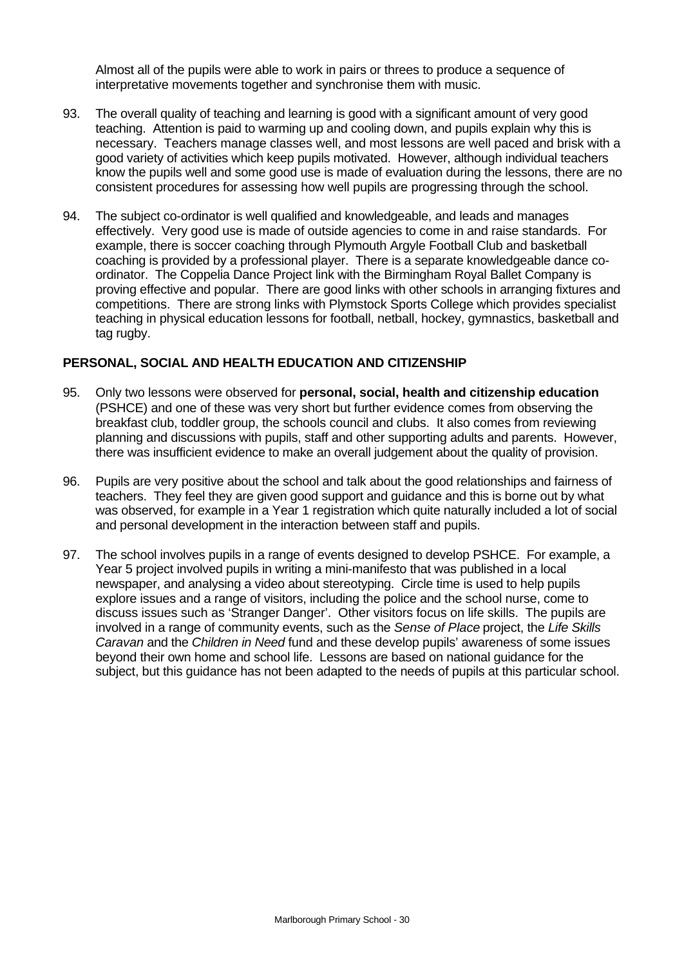Almost all of the pupils were able to work in pairs or threes to produce a sequence of interpretative movements together and synchronise them with music.

- 93. The overall quality of teaching and learning is good with a significant amount of very good teaching. Attention is paid to warming up and cooling down, and pupils explain why this is necessary. Teachers manage classes well, and most lessons are well paced and brisk with a good variety of activities which keep pupils motivated. However, although individual teachers know the pupils well and some good use is made of evaluation during the lessons, there are no consistent procedures for assessing how well pupils are progressing through the school.
- 94. The subject co-ordinator is well qualified and knowledgeable, and leads and manages effectively. Very good use is made of outside agencies to come in and raise standards. For example, there is soccer coaching through Plymouth Argyle Football Club and basketball coaching is provided by a professional player. There is a separate knowledgeable dance coordinator. The Coppelia Dance Project link with the Birmingham Royal Ballet Company is proving effective and popular. There are good links with other schools in arranging fixtures and competitions. There are strong links with Plymstock Sports College which provides specialist teaching in physical education lessons for football, netball, hockey, gymnastics, basketball and tag rugby.

### **PERSONAL, SOCIAL AND HEALTH EDUCATION AND CITIZENSHIP**

- 95. Only two lessons were observed for **personal, social, health and citizenship education** (PSHCE) and one of these was very short but further evidence comes from observing the breakfast club, toddler group, the schools council and clubs. It also comes from reviewing planning and discussions with pupils, staff and other supporting adults and parents. However, there was insufficient evidence to make an overall judgement about the quality of provision.
- 96. Pupils are very positive about the school and talk about the good relationships and fairness of teachers. They feel they are given good support and guidance and this is borne out by what was observed, for example in a Year 1 registration which quite naturally included a lot of social and personal development in the interaction between staff and pupils.
- 97. The school involves pupils in a range of events designed to develop PSHCE. For example, a Year 5 project involved pupils in writing a mini-manifesto that was published in a local newspaper, and analysing a video about stereotyping. Circle time is used to help pupils explore issues and a range of visitors, including the police and the school nurse, come to discuss issues such as 'Stranger Danger'. Other visitors focus on life skills. The pupils are involved in a range of community events, such as the *Sense of Place* project, the *Life Skills Caravan* and the *Children in Need* fund and these develop pupils' awareness of some issues beyond their own home and school life. Lessons are based on national guidance for the subject, but this guidance has not been adapted to the needs of pupils at this particular school.